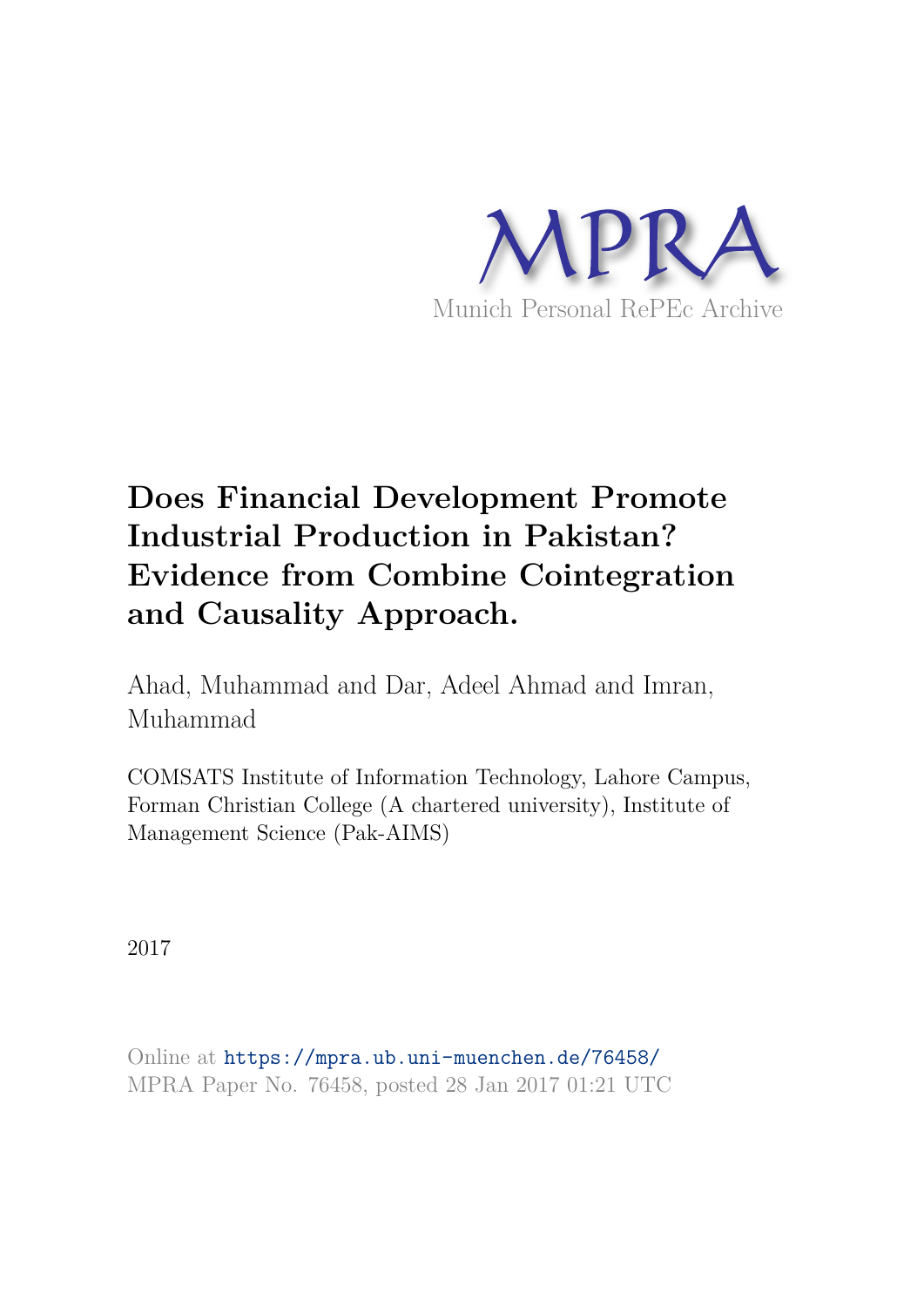

# **Does Financial Development Promote Industrial Production in Pakistan? Evidence from Combine Cointegration and Causality Approach.**

Ahad, Muhammad and Dar, Adeel Ahmad and Imran, Muhammad

COMSATS Institute of Information Technology, Lahore Campus, Forman Christian College (A chartered university), Institute of Management Science (Pak-AIMS)

2017

Online at https://mpra.ub.uni-muenchen.de/76458/ MPRA Paper No. 76458, posted 28 Jan 2017 01:21 UTC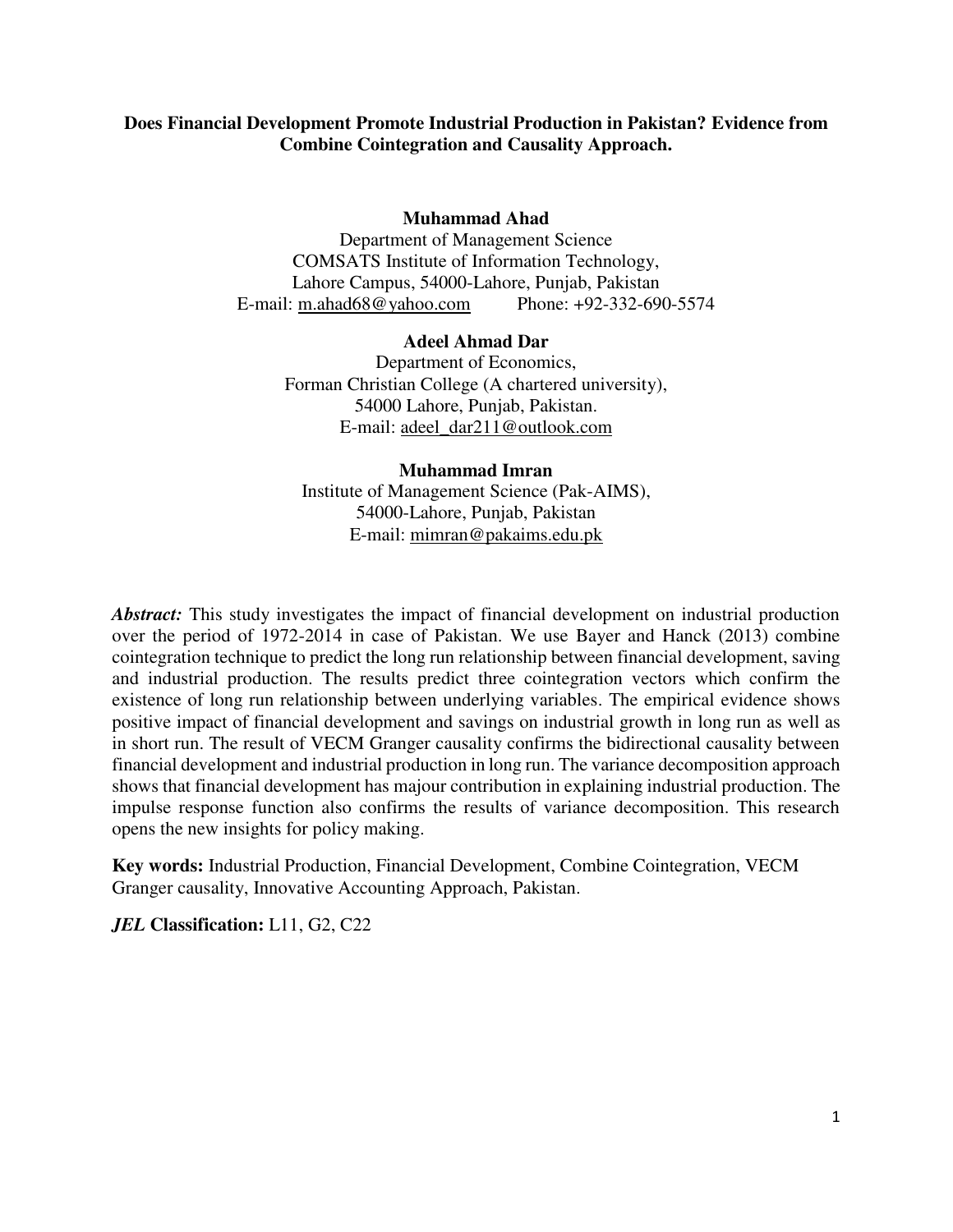# **Does Financial Development Promote Industrial Production in Pakistan? Evidence from Combine Cointegration and Causality Approach.**

#### **Muhammad Ahad**

Department of Management Science COMSATS Institute of Information Technology, Lahore Campus, 54000-Lahore, Punjab, Pakistan E-mail: [m.ahad68@yahoo.com](mailto:m.ahad68@yahoo.com) Phone: +92-332-690-5574

#### **Adeel Ahmad Dar**

Department of Economics, Forman Christian College (A chartered university), 54000 Lahore, Punjab, Pakistan. E-mail: [adeel\\_dar211@outlook.com](mailto:adeel_dar211@outlook.com) 

#### **Muhammad Imran**

Institute of Management Science (Pak-AIMS), 54000-Lahore, Punjab, Pakistan E-mail: [mimran@pakaims.edu.pk](mailto:mimran@pakaims.edu.pk) 

*Abstract:* This study investigates the impact of financial development on industrial production over the period of 1972-2014 in case of Pakistan. We use Bayer and Hanck (2013) combine cointegration technique to predict the long run relationship between financial development, saving and industrial production. The results predict three cointegration vectors which confirm the existence of long run relationship between underlying variables. The empirical evidence shows positive impact of financial development and savings on industrial growth in long run as well as in short run. The result of VECM Granger causality confirms the bidirectional causality between financial development and industrial production in long run. The variance decomposition approach shows that financial development has majour contribution in explaining industrial production. The impulse response function also confirms the results of variance decomposition. This research opens the new insights for policy making.

**Key words:** Industrial Production, Financial Development, Combine Cointegration, VECM Granger causality, Innovative Accounting Approach, Pakistan.

*JEL* **Classification:** L11, G2, C22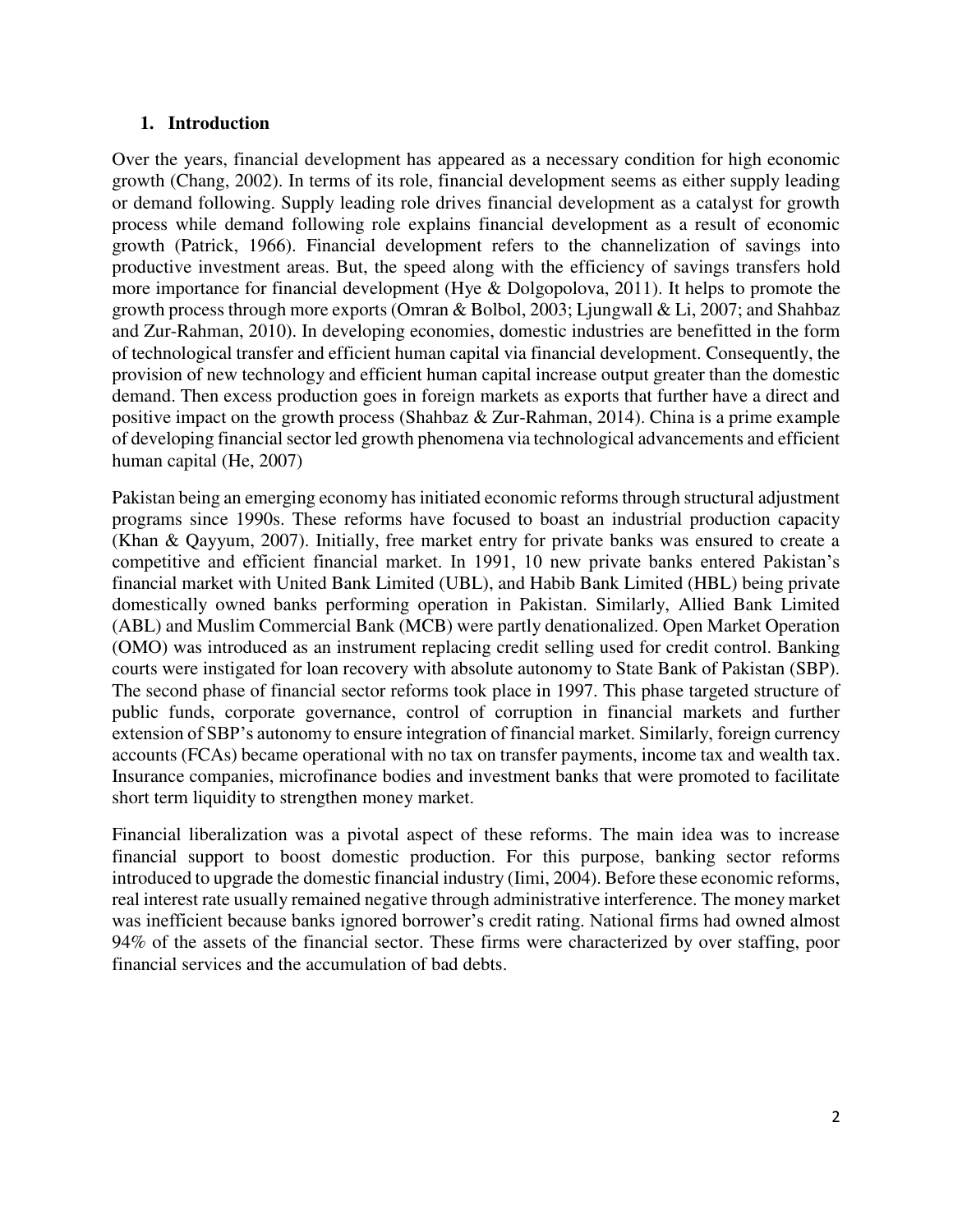# **1. Introduction**

Over the years, financial development has appeared as a necessary condition for high economic growth (Chang, 2002). In terms of its role, financial development seems as either supply leading or demand following. Supply leading role drives financial development as a catalyst for growth process while demand following role explains financial development as a result of economic growth (Patrick, 1966). Financial development refers to the channelization of savings into productive investment areas. But, the speed along with the efficiency of savings transfers hold more importance for financial development (Hye & Dolgopolova, 2011). It helps to promote the growth process through more exports (Omran & Bolbol, 2003; Ljungwall & Li, 2007; and Shahbaz and Zur-Rahman, 2010). In developing economies, domestic industries are benefitted in the form of technological transfer and efficient human capital via financial development. Consequently, the provision of new technology and efficient human capital increase output greater than the domestic demand. Then excess production goes in foreign markets as exports that further have a direct and positive impact on the growth process (Shahbaz & Zur-Rahman, 2014). China is a prime example of developing financial sector led growth phenomena via technological advancements and efficient human capital (He, 2007)

Pakistan being an emerging economy has initiated economic reforms through structural adjustment programs since 1990s. These reforms have focused to boast an industrial production capacity (Khan & Qayyum, 2007). Initially, free market entry for private banks was ensured to create a competitive and efficient financial market. In 1991, 10 new private banks entered Pakistan's financial market with United Bank Limited (UBL), and Habib Bank Limited (HBL) being private domestically owned banks performing operation in Pakistan. Similarly, Allied Bank Limited (ABL) and Muslim Commercial Bank (MCB) were partly denationalized. Open Market Operation (OMO) was introduced as an instrument replacing credit selling used for credit control. Banking courts were instigated for loan recovery with absolute autonomy to State Bank of Pakistan (SBP). The second phase of financial sector reforms took place in 1997. This phase targeted structure of public funds, corporate governance, control of corruption in financial markets and further extension of SBP's autonomy to ensure integration of financial market. Similarly, foreign currency accounts (FCAs) became operational with no tax on transfer payments, income tax and wealth tax. Insurance companies, microfinance bodies and investment banks that were promoted to facilitate short term liquidity to strengthen money market.

Financial liberalization was a pivotal aspect of these reforms. The main idea was to increase financial support to boost domestic production. For this purpose, banking sector reforms introduced to upgrade the domestic financial industry (Iimi, 2004). Before these economic reforms, real interest rate usually remained negative through administrative interference. The money market was inefficient because banks ignored borrower's credit rating. National firms had owned almost 94% of the assets of the financial sector. These firms were characterized by over staffing, poor financial services and the accumulation of bad debts.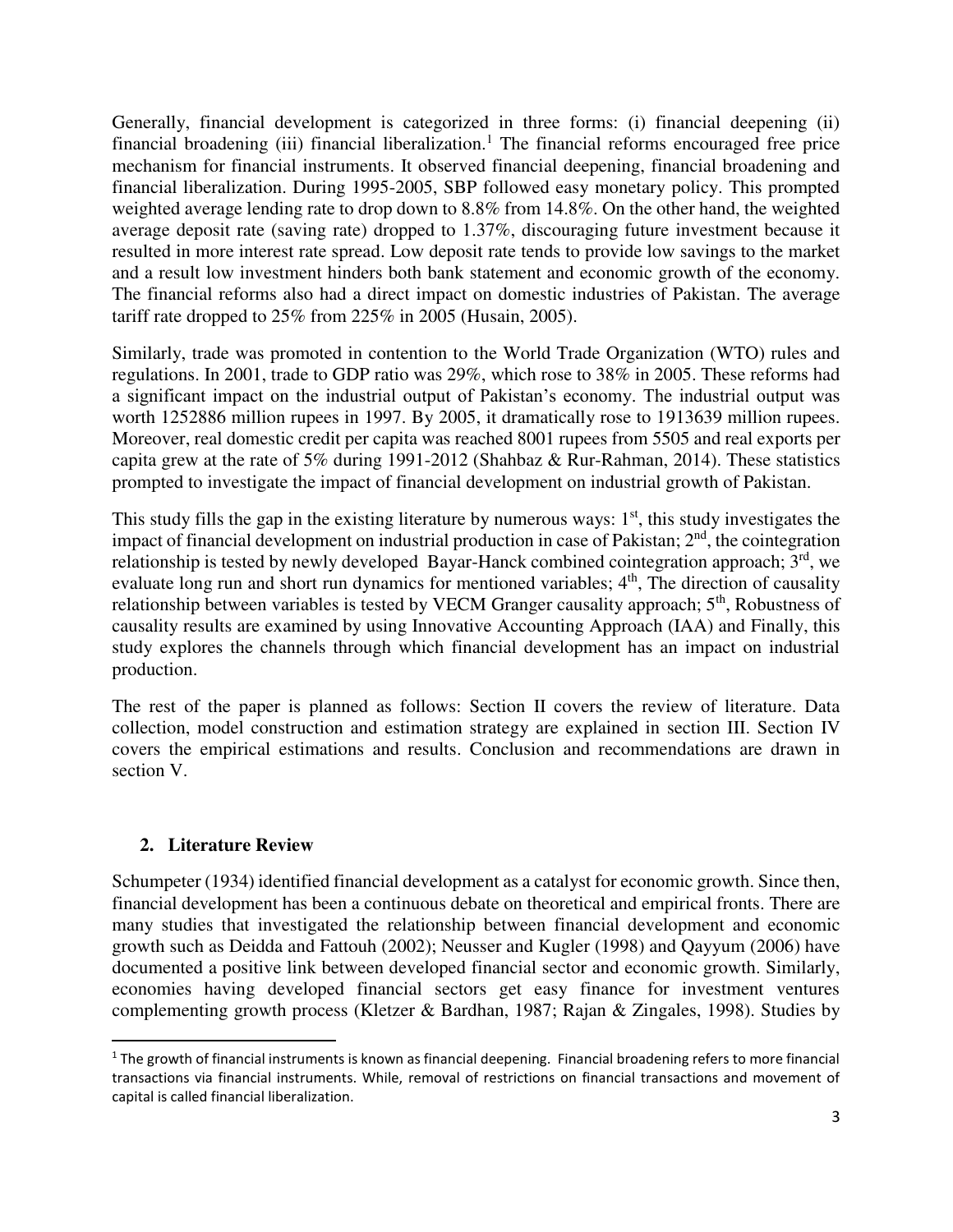Generally, financial development is categorized in three forms: (i) financial deepening (ii) financial broadening (iii) financial liberalization.<sup>1</sup> The financial reforms encouraged free price mechanism for financial instruments. It observed financial deepening, financial broadening and financial liberalization. During 1995-2005, SBP followed easy monetary policy. This prompted weighted average lending rate to drop down to 8.8% from 14.8%. On the other hand, the weighted average deposit rate (saving rate) dropped to 1.37%, discouraging future investment because it resulted in more interest rate spread. Low deposit rate tends to provide low savings to the market and a result low investment hinders both bank statement and economic growth of the economy. The financial reforms also had a direct impact on domestic industries of Pakistan. The average tariff rate dropped to 25% from 225% in 2005 (Husain, 2005).

Similarly, trade was promoted in contention to the World Trade Organization (WTO) rules and regulations. In 2001, trade to GDP ratio was 29%, which rose to 38% in 2005. These reforms had a significant impact on the industrial output of Pakistan's economy. The industrial output was worth 1252886 million rupees in 1997. By 2005, it dramatically rose to 1913639 million rupees. Moreover, real domestic credit per capita was reached 8001 rupees from 5505 and real exports per capita grew at the rate of 5% during 1991-2012 (Shahbaz & Rur-Rahman, 2014). These statistics prompted to investigate the impact of financial development on industrial growth of Pakistan.

This study fills the gap in the existing literature by numerous ways:  $1<sup>st</sup>$ , this study investigates the impact of financial development on industrial production in case of Pakistan;  $2<sup>nd</sup>$ , the cointegration relationship is tested by newly developed Bayar-Hanck combined cointegration approach; 3<sup>rd</sup>, we evaluate long run and short run dynamics for mentioned variables;  $4<sup>th</sup>$ , The direction of causality relationship between variables is tested by VECM Granger causality approach; 5<sup>th</sup>, Robustness of causality results are examined by using Innovative Accounting Approach (IAA) and Finally, this study explores the channels through which financial development has an impact on industrial production.

The rest of the paper is planned as follows: Section II covers the review of literature. Data collection, model construction and estimation strategy are explained in section III. Section IV covers the empirical estimations and results. Conclusion and recommendations are drawn in section V.

# **2. Literature Review**

l

Schumpeter (1934) identified financial development as a catalyst for economic growth. Since then, financial development has been a continuous debate on theoretical and empirical fronts. There are many studies that investigated the relationship between financial development and economic growth such as Deidda and Fattouh (2002); Neusser and Kugler (1998) and Qayyum (2006) have documented a positive link between developed financial sector and economic growth. Similarly, economies having developed financial sectors get easy finance for investment ventures complementing growth process (Kletzer & Bardhan, 1987; Rajan & Zingales, 1998). Studies by

<sup>&</sup>lt;sup>1</sup> The growth of financial instruments is known as financial deepening. Financial broadening refers to more financial transactions via financial instruments. While, removal of restrictions on financial transactions and movement of capital is called financial liberalization.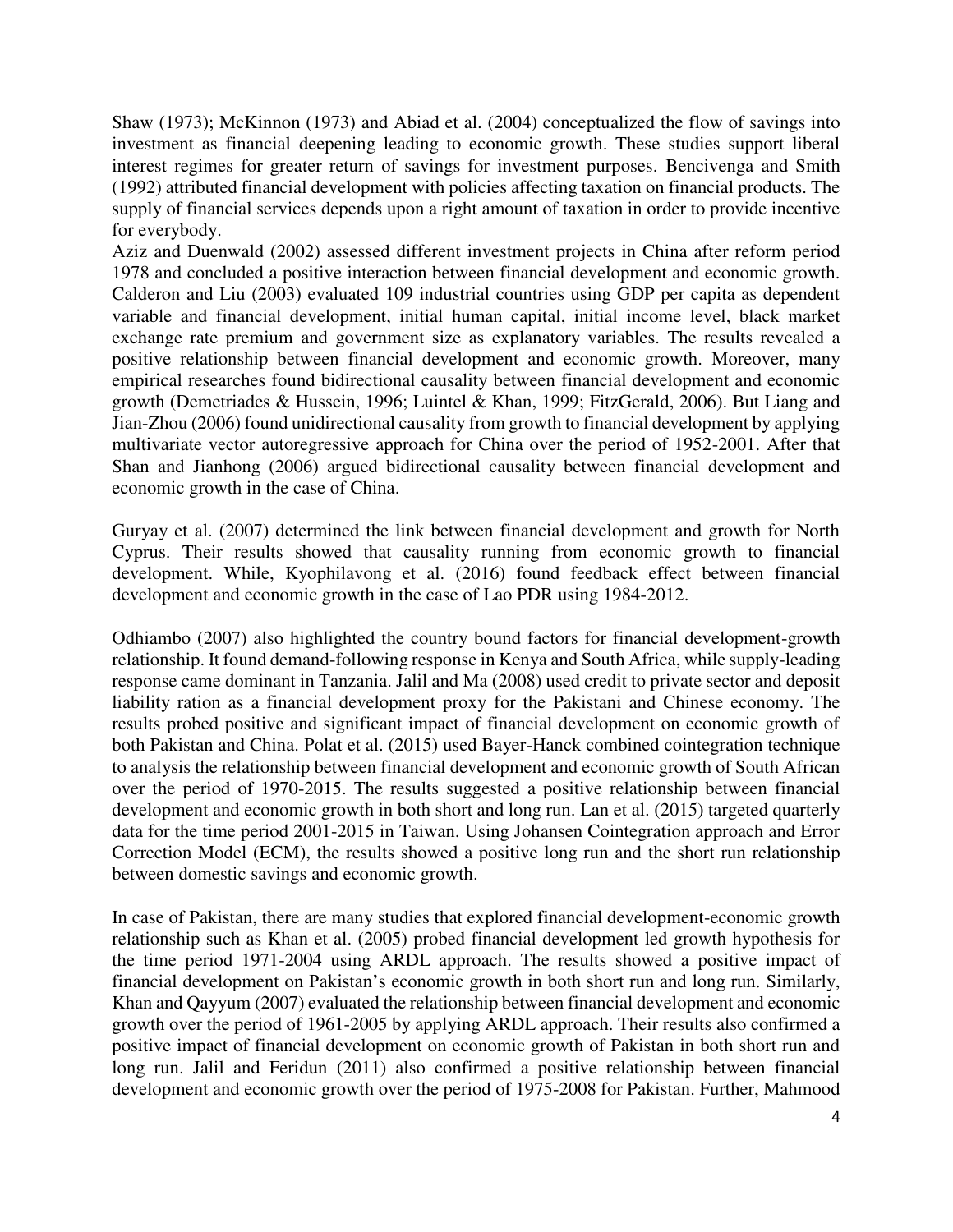Shaw (1973); McKinnon (1973) and Abiad et al. (2004) conceptualized the flow of savings into investment as financial deepening leading to economic growth. These studies support liberal interest regimes for greater return of savings for investment purposes. Bencivenga and Smith (1992) attributed financial development with policies affecting taxation on financial products. The supply of financial services depends upon a right amount of taxation in order to provide incentive for everybody.

Aziz and Duenwald (2002) assessed different investment projects in China after reform period 1978 and concluded a positive interaction between financial development and economic growth. Calderon and Liu (2003) evaluated 109 industrial countries using GDP per capita as dependent variable and financial development, initial human capital, initial income level, black market exchange rate premium and government size as explanatory variables. The results revealed a positive relationship between financial development and economic growth. Moreover, many empirical researches found bidirectional causality between financial development and economic growth (Demetriades & Hussein, 1996; Luintel & Khan, 1999; FitzGerald, 2006). But Liang and Jian-Zhou (2006) found unidirectional causality from growth to financial development by applying multivariate vector autoregressive approach for China over the period of 1952-2001. After that Shan and Jianhong (2006) argued bidirectional causality between financial development and economic growth in the case of China.

Guryay et al. (2007) determined the link between financial development and growth for North Cyprus. Their results showed that causality running from economic growth to financial development. While, Kyophilavong et al. (2016) found feedback effect between financial development and economic growth in the case of Lao PDR using 1984-2012.

Odhiambo (2007) also highlighted the country bound factors for financial development-growth relationship. It found demand-following response in Kenya and South Africa, while supply-leading response came dominant in Tanzania. Jalil and Ma (2008) used credit to private sector and deposit liability ration as a financial development proxy for the Pakistani and Chinese economy. The results probed positive and significant impact of financial development on economic growth of both Pakistan and China. Polat et al. (2015) used Bayer-Hanck combined cointegration technique to analysis the relationship between financial development and economic growth of South African over the period of 1970-2015. The results suggested a positive relationship between financial development and economic growth in both short and long run. Lan et al. (2015) targeted quarterly data for the time period 2001-2015 in Taiwan. Using Johansen Cointegration approach and Error Correction Model (ECM), the results showed a positive long run and the short run relationship between domestic savings and economic growth.

In case of Pakistan, there are many studies that explored financial development-economic growth relationship such as Khan et al. (2005) probed financial development led growth hypothesis for the time period 1971-2004 using ARDL approach. The results showed a positive impact of financial development on Pakistan's economic growth in both short run and long run. Similarly, Khan and Qayyum (2007) evaluated the relationship between financial development and economic growth over the period of 1961-2005 by applying ARDL approach. Their results also confirmed a positive impact of financial development on economic growth of Pakistan in both short run and long run. Jalil and Feridun (2011) also confirmed a positive relationship between financial development and economic growth over the period of 1975-2008 for Pakistan. Further, Mahmood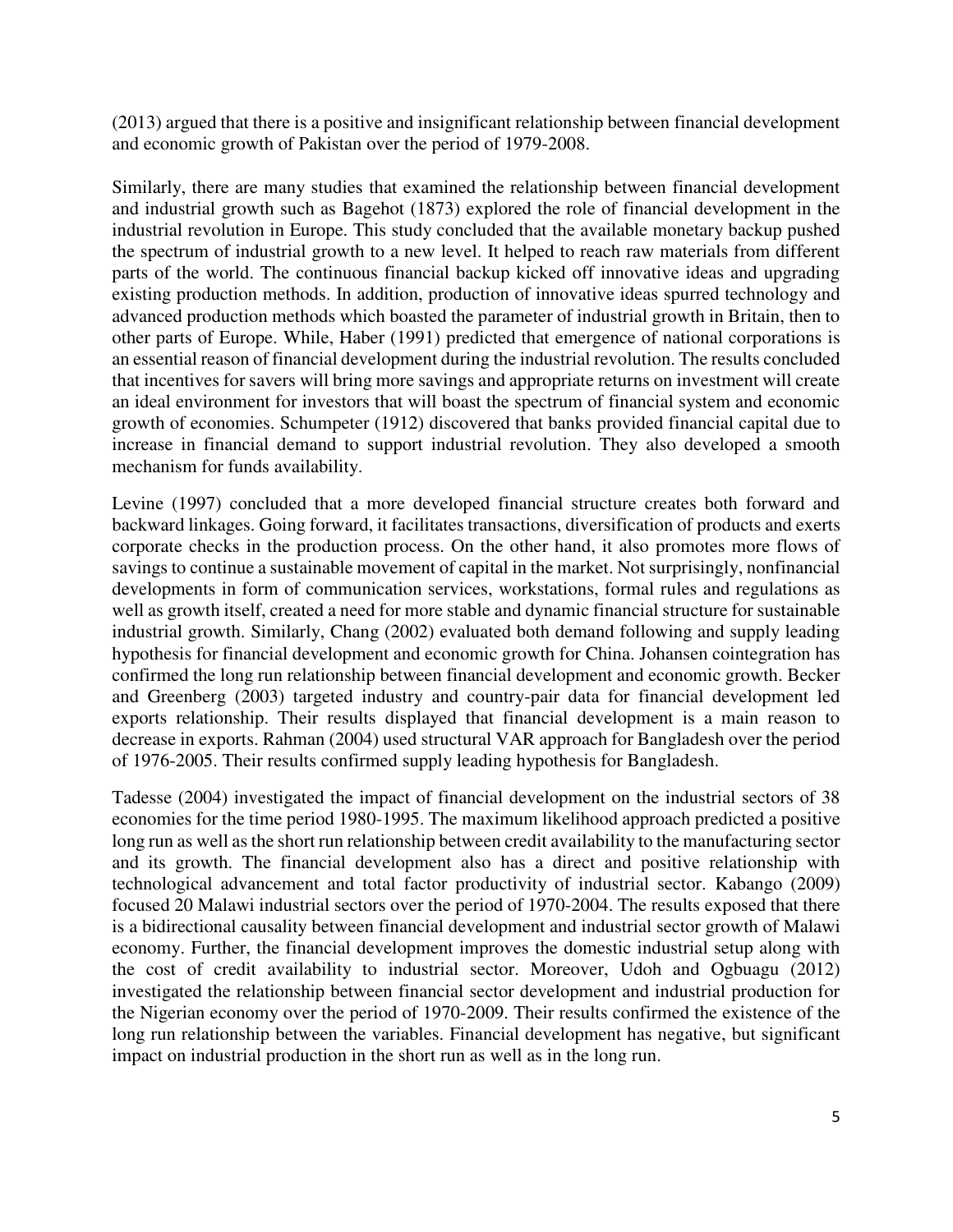(2013) argued that there is a positive and insignificant relationship between financial development and economic growth of Pakistan over the period of 1979-2008.

Similarly, there are many studies that examined the relationship between financial development and industrial growth such as Bagehot (1873) explored the role of financial development in the industrial revolution in Europe. This study concluded that the available monetary backup pushed the spectrum of industrial growth to a new level. It helped to reach raw materials from different parts of the world. The continuous financial backup kicked off innovative ideas and upgrading existing production methods. In addition, production of innovative ideas spurred technology and advanced production methods which boasted the parameter of industrial growth in Britain, then to other parts of Europe. While, Haber (1991) predicted that emergence of national corporations is an essential reason of financial development during the industrial revolution. The results concluded that incentives for savers will bring more savings and appropriate returns on investment will create an ideal environment for investors that will boast the spectrum of financial system and economic growth of economies. Schumpeter (1912) discovered that banks provided financial capital due to increase in financial demand to support industrial revolution. They also developed a smooth mechanism for funds availability.

Levine (1997) concluded that a more developed financial structure creates both forward and backward linkages. Going forward, it facilitates transactions, diversification of products and exerts corporate checks in the production process. On the other hand, it also promotes more flows of savings to continue a sustainable movement of capital in the market. Not surprisingly, nonfinancial developments in form of communication services, workstations, formal rules and regulations as well as growth itself, created a need for more stable and dynamic financial structure for sustainable industrial growth. Similarly, Chang (2002) evaluated both demand following and supply leading hypothesis for financial development and economic growth for China. Johansen cointegration has confirmed the long run relationship between financial development and economic growth. Becker and Greenberg (2003) targeted industry and country-pair data for financial development led exports relationship. Their results displayed that financial development is a main reason to decrease in exports. Rahman (2004) used structural VAR approach for Bangladesh over the period of 1976-2005. Their results confirmed supply leading hypothesis for Bangladesh.

Tadesse (2004) investigated the impact of financial development on the industrial sectors of 38 economies for the time period 1980-1995. The maximum likelihood approach predicted a positive long run as well as the short run relationship between credit availability to the manufacturing sector and its growth. The financial development also has a direct and positive relationship with technological advancement and total factor productivity of industrial sector. Kabango (2009) focused 20 Malawi industrial sectors over the period of 1970-2004. The results exposed that there is a bidirectional causality between financial development and industrial sector growth of Malawi economy. Further, the financial development improves the domestic industrial setup along with the cost of credit availability to industrial sector. Moreover, Udoh and Ogbuagu (2012) investigated the relationship between financial sector development and industrial production for the Nigerian economy over the period of 1970-2009. Their results confirmed the existence of the long run relationship between the variables. Financial development has negative, but significant impact on industrial production in the short run as well as in the long run.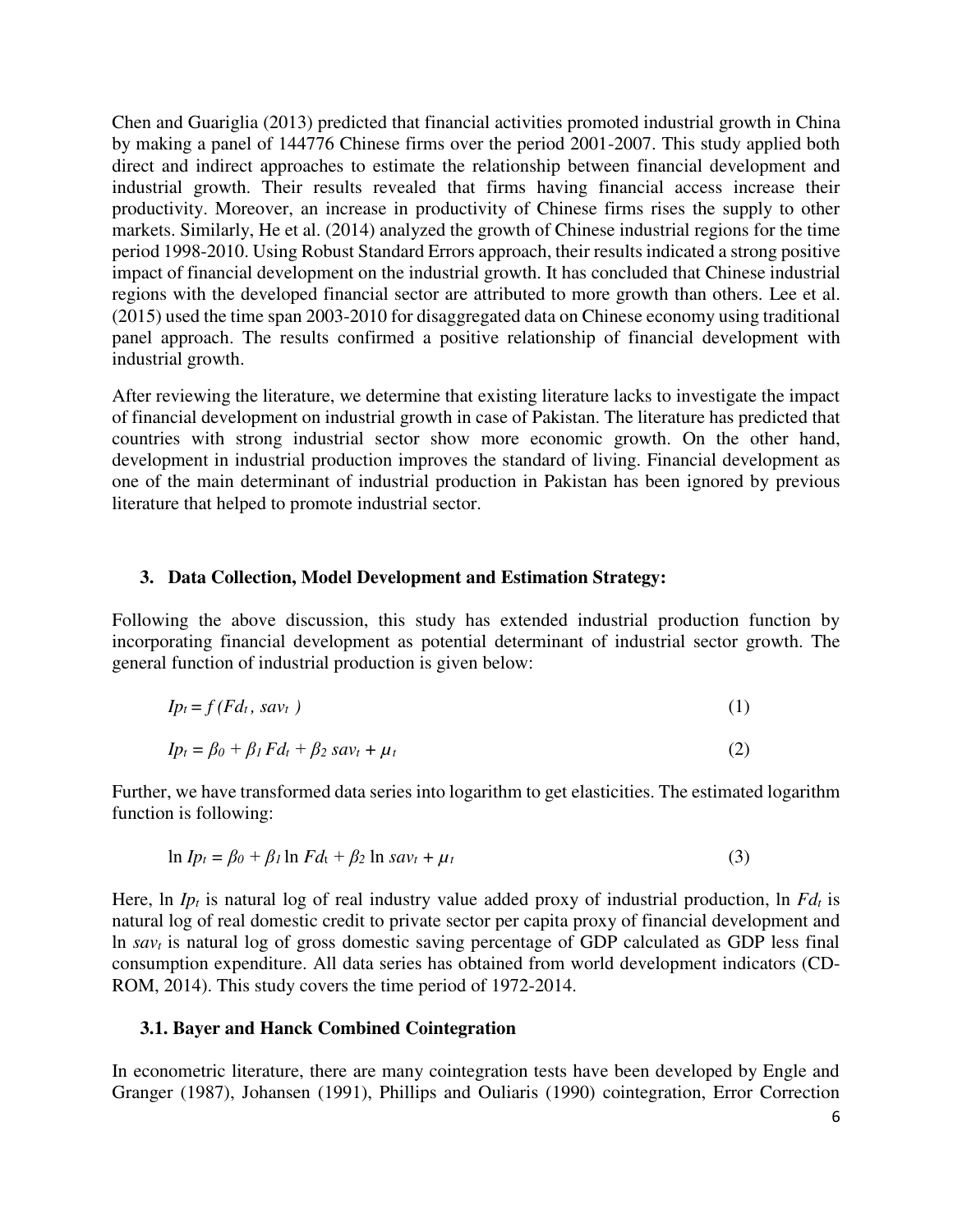Chen and Guariglia (2013) predicted that financial activities promoted industrial growth in China by making a panel of 144776 Chinese firms over the period 2001-2007. This study applied both direct and indirect approaches to estimate the relationship between financial development and industrial growth. Their results revealed that firms having financial access increase their productivity. Moreover, an increase in productivity of Chinese firms rises the supply to other markets. Similarly, He et al. (2014) analyzed the growth of Chinese industrial regions for the time period 1998-2010. Using Robust Standard Errors approach, their results indicated a strong positive impact of financial development on the industrial growth. It has concluded that Chinese industrial regions with the developed financial sector are attributed to more growth than others. Lee et al. (2015) used the time span 2003-2010 for disaggregated data on Chinese economy using traditional panel approach. The results confirmed a positive relationship of financial development with industrial growth.

After reviewing the literature, we determine that existing literature lacks to investigate the impact of financial development on industrial growth in case of Pakistan. The literature has predicted that countries with strong industrial sector show more economic growth. On the other hand, development in industrial production improves the standard of living. Financial development as one of the main determinant of industrial production in Pakistan has been ignored by previous literature that helped to promote industrial sector.

#### **3. Data Collection, Model Development and Estimation Strategy:**

Following the above discussion, this study has extended industrial production function by incorporating financial development as potential determinant of industrial sector growth. The general function of industrial production is given below:

$$
Ip_t = f(Fd_t, sav_t) \tag{1}
$$

$$
Ip_t = \beta_0 + \beta_1 F d_t + \beta_2 s a v_t + \mu_t
$$
\n<sup>(2)</sup>

Further, we have transformed data series into logarithm to get elasticities. The estimated logarithm function is following:

$$
\ln I p_t = \beta_0 + \beta_1 \ln F d_t + \beta_2 \ln s a v_t + \mu_t \tag{3}
$$

Here, ln *Ipt* is natural log of real industry value added proxy of industrial production, ln *Fdt* is natural log of real domestic credit to private sector per capita proxy of financial development and ln *savt* is natural log of gross domestic saving percentage of GDP calculated as GDP less final consumption expenditure. All data series has obtained from world development indicators (CD-ROM, 2014). This study covers the time period of 1972-2014.

#### **3.1. Bayer and Hanck Combined Cointegration**

In econometric literature, there are many cointegration tests have been developed by Engle and Granger (1987), Johansen (1991), Phillips and Ouliaris (1990) cointegration, Error Correction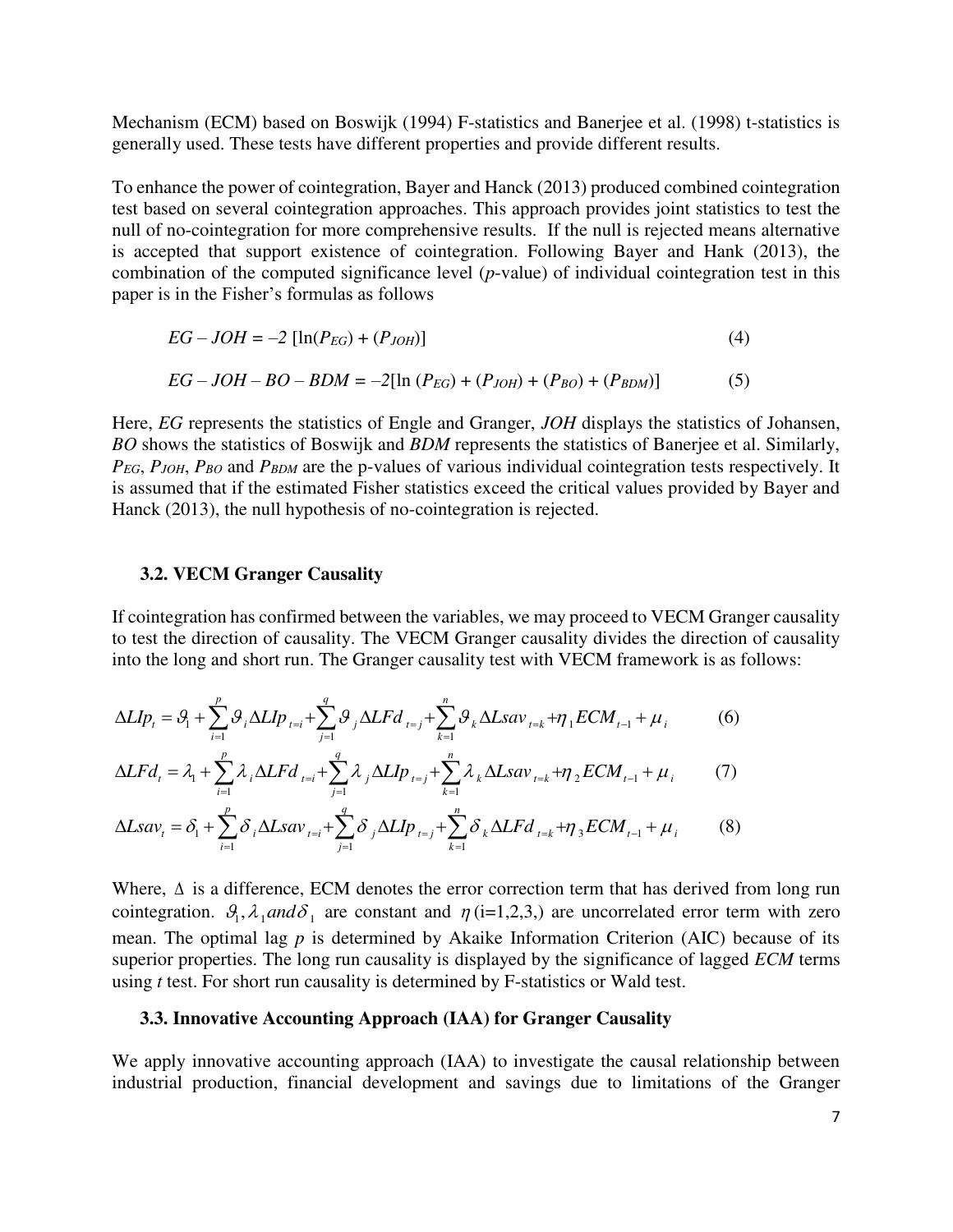Mechanism (ECM) based on Boswijk (1994) F-statistics and Banerjee et al. (1998) t-statistics is generally used. These tests have different properties and provide different results.

To enhance the power of cointegration, Bayer and Hanck (2013) produced combined cointegration test based on several cointegration approaches. This approach provides joint statistics to test the null of no-cointegration for more comprehensive results. If the null is rejected means alternative is accepted that support existence of cointegration. Following Bayer and Hank (2013), the combination of the computed significance level (*p*-value) of individual cointegration test in this paper is in the Fisher's formulas as follows

$$
EG - JOH = -2 [\ln(P_{EG}) + (P_{JOH})]
$$
 (4)

EG – 
$$
JOH - BO - BDM = -2[\ln(P_{EG}) + (P_{JOH}) + (P_{BO}) + (P_{BDM})]
$$
 (5)

Here, *EG* represents the statistics of Engle and Granger, *JOH* displays the statistics of Johansen, *BO* shows the statistics of Boswijk and *BDM* represents the statistics of Banerjee et al. Similarly, *PEG*, *PJOH*, *PBO* and *PBDM* are the p-values of various individual cointegration tests respectively. It is assumed that if the estimated Fisher statistics exceed the critical values provided by Bayer and Hanck (2013), the null hypothesis of no-cointegration is rejected.

#### **3.2. VECM Granger Causality**

If cointegration has confirmed between the variables, we may proceed to VECM Granger causality to test the direction of causality. The VECM Granger causality divides the direction of causality into the long and short run. The Granger causality test with VECM framework is as follows:

$$
\Delta L I p_t = \mathcal{G}_1 + \sum_{i=1}^p \mathcal{G}_i \Delta L I p_{t=i} + \sum_{j=1}^q \mathcal{G}_j \Delta L F d_{t=j} + \sum_{k=1}^n \mathcal{G}_k \Delta L s a v_{t=k} + \eta_1 E C M_{t-1} + \mu_i
$$
(6)

$$
\Delta L F d_t = \lambda_1 + \sum_{i=1}^p \lambda_i \Delta L F d_{t=i} + \sum_{j=1}^q \lambda_j \Delta L I p_{t=j} + \sum_{k=1}^n \lambda_k \Delta L s a v_{t=k} + \eta_2 E C M_{t-1} + \mu_i
$$
 (7)

$$
\Delta Lsav_{t} = \delta_{1} + \sum_{i=1}^{p} \delta_{i} \Delta Lsav_{t=i} + \sum_{j=1}^{q} \delta_{j} \Delta Llp_{t=j} + \sum_{k=1}^{n} \delta_{k} \Delta LFd_{t=k} + \eta_{3}ECM_{t-1} + \mu_{i}
$$
(8)

Where,  $\Delta$  is a difference, ECM denotes the error correction term that has derived from long run cointegration.  $\mathcal{G}_1$ ,  $\lambda_1$  and  $\delta_1$  are constant and  $\eta$  (i=1,2,3,) are uncorrelated error term with zero mean. The optimal lag *p* is determined by Akaike Information Criterion (AIC) because of its superior properties. The long run causality is displayed by the significance of lagged *ECM* terms using *t* test. For short run causality is determined by F-statistics or Wald test.

#### **3.3. Innovative Accounting Approach (IAA) for Granger Causality**

We apply innovative accounting approach (IAA) to investigate the causal relationship between industrial production, financial development and savings due to limitations of the Granger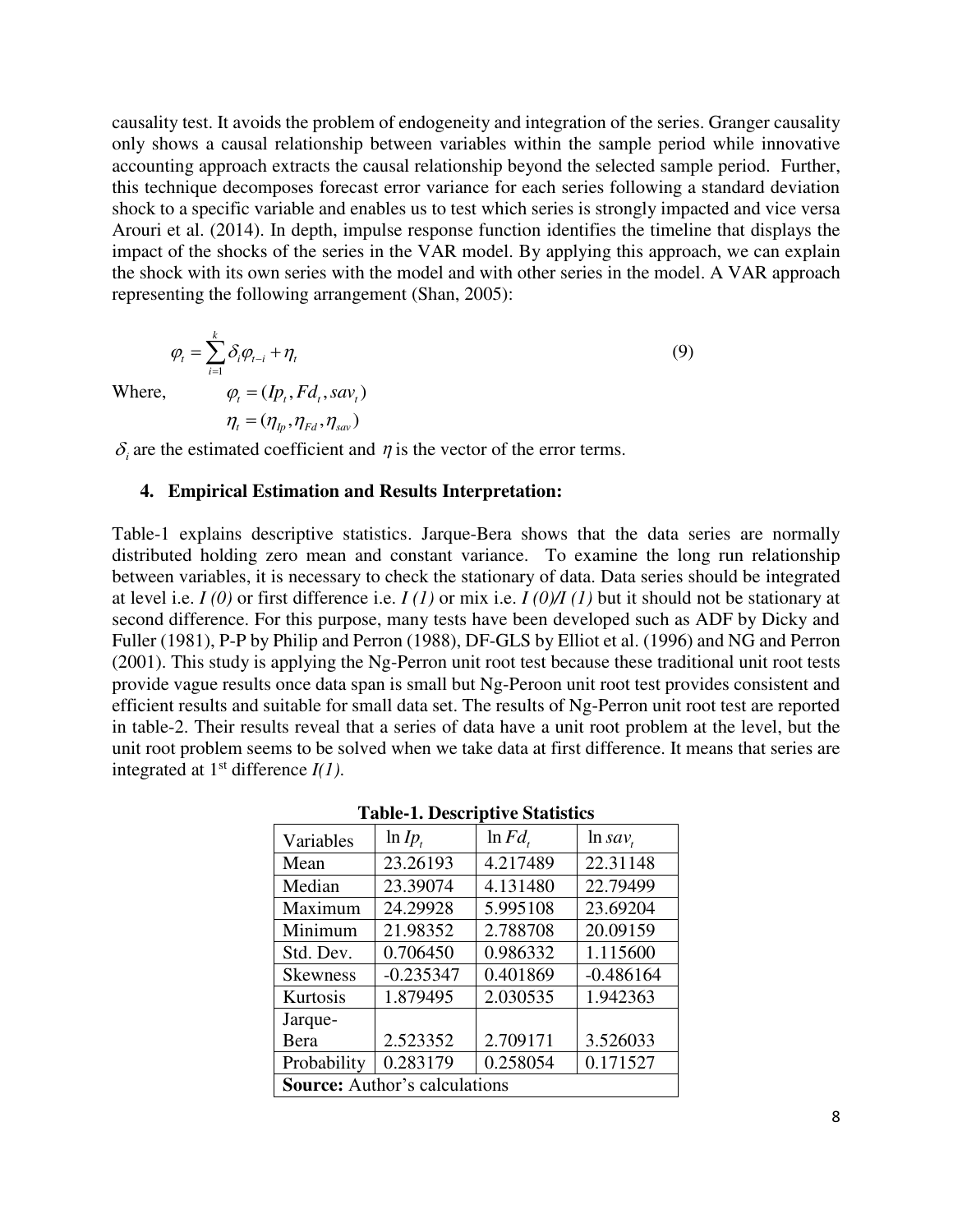causality test. It avoids the problem of endogeneity and integration of the series. Granger causality only shows a causal relationship between variables within the sample period while innovative accounting approach extracts the causal relationship beyond the selected sample period. Further, this technique decomposes forecast error variance for each series following a standard deviation shock to a specific variable and enables us to test which series is strongly impacted and vice versa Arouri et al. (2014). In depth, impulse response function identifies the timeline that displays the impact of the shocks of the series in the VAR model. By applying this approach, we can explain the shock with its own series with the model and with other series in the model. A VAR approach representing the following arrangement (Shan, 2005):

$$
\varphi_t = \sum_{i=1}^k \delta_i \varphi_{t-i} + \eta_t
$$
  

$$
\varphi_t = (I p_t, F d_t, s a v_t)
$$
 (9)

 $W$ *here*,

$$
\eta_{_t}\,{=}\,(\eta_{_{lp}},\eta_{_{Fd}},\eta_{_{sav}})
$$

 $\delta_i$  are the estimated coefficient and  $\eta$  is the vector of the error terms.

#### **4. Empirical Estimation and Results Interpretation:**

Table-1 explains descriptive statistics. Jarque-Bera shows that the data series are normally distributed holding zero mean and constant variance. To examine the long run relationship between variables, it is necessary to check the stationary of data. Data series should be integrated at level i.e. *I (0)* or first difference i.e. *I (1)* or mix i.e. *I (0)/I (1)* but it should not be stationary at second difference. For this purpose, many tests have been developed such as ADF by Dicky and Fuller (1981), P-P by Philip and Perron (1988), DF-GLS by Elliot et al. (1996) and NG and Perron (2001). This study is applying the Ng-Perron unit root test because these traditional unit root tests provide vague results once data span is small but Ng-Peroon unit root test provides consistent and efficient results and suitable for small data set. The results of Ng-Perron unit root test are reported in table-2. Their results reveal that a series of data have a unit root problem at the level, but the unit root problem seems to be solved when we take data at first difference. It means that series are integrated at  $1<sup>st</sup>$  difference  $I(1)$ .

| Variables                            | $ln Ip_t$   | $\ln F d$ , | $\ln sav_t$ |  |  |
|--------------------------------------|-------------|-------------|-------------|--|--|
| Mean                                 | 23.26193    | 4.217489    | 22.31148    |  |  |
| Median                               | 23.39074    | 4.131480    | 22.79499    |  |  |
| Maximum                              | 24.29928    | 5.995108    | 23.69204    |  |  |
| Minimum                              | 21.98352    | 2.788708    | 20.09159    |  |  |
| Std. Dev.                            | 0.706450    | 0.986332    | 1.115600    |  |  |
| <b>Skewness</b>                      | $-0.235347$ | 0.401869    | $-0.486164$ |  |  |
| Kurtosis                             | 1.879495    | 2.030535    | 1.942363    |  |  |
| Jarque-                              |             |             |             |  |  |
| Bera                                 | 2.523352    | 2.709171    | 3.526033    |  |  |
| Probability                          | 0.283179    | 0.258054    | 0.171527    |  |  |
| <b>Source:</b> Author's calculations |             |             |             |  |  |

**Table-1. Descriptive Statistics**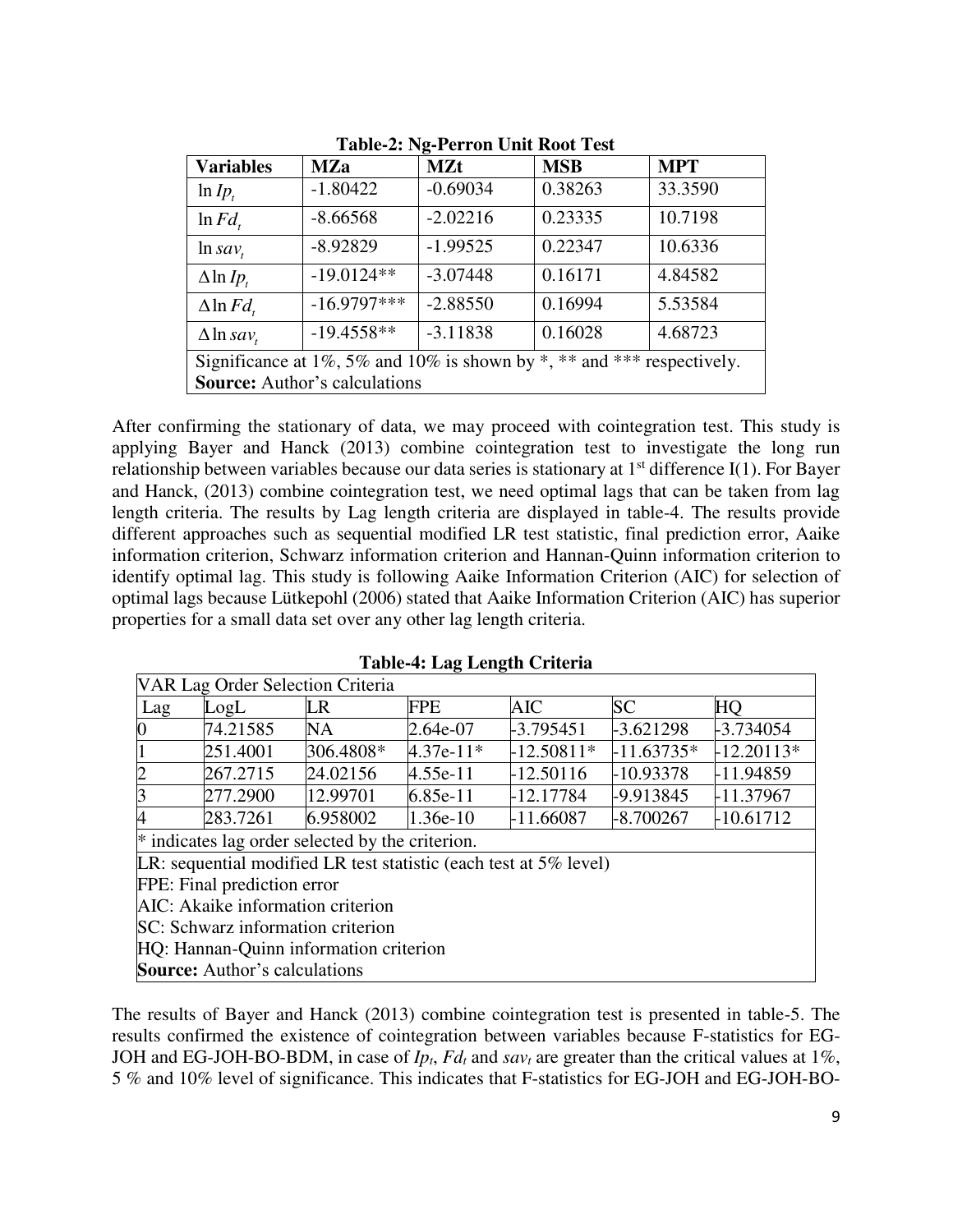| <b>Variables</b>                                                       | <b>MZa</b>    | <b>MZt</b> | <b>MSB</b> | <b>MPT</b> |
|------------------------------------------------------------------------|---------------|------------|------------|------------|
| $ln Ip_t$                                                              | $-1.80422$    | $-0.69034$ | 0.38263    | 33.3590    |
| $\ln Fd_{t}$                                                           | $-8.66568$    | $-2.02216$ | 0.23335    | 10.7198    |
| $ln \, \text{sav}_t$                                                   | $-8.92829$    | $-1.99525$ | 0.22347    | 10.6336    |
| $\Delta$ ln Ip,                                                        | $-19.0124**$  | $-3.07448$ | 0.16171    | 4.84582    |
| $\Delta$ ln $Fd$ ,                                                     | $-16.9797***$ | $-2.88550$ | 0.16994    | 5.53584    |
| $\Delta$ ln sav,                                                       | $-19.4558**$  | $-3.11838$ | 0.16028    | 4.68723    |
| Significance at 1%, 5% and 10% is shown by *, ** and *** respectively. |               |            |            |            |
| <b>Source:</b> Author's calculations                                   |               |            |            |            |

**Table-2: Ng-Perron Unit Root Test** 

After confirming the stationary of data, we may proceed with cointegration test. This study is applying Bayer and Hanck (2013) combine cointegration test to investigate the long run relationship between variables because our data series is stationary at  $1<sup>st</sup>$  difference I(1). For Bayer and Hanck, (2013) combine cointegration test, we need optimal lags that can be taken from lag length criteria. The results by Lag length criteria are displayed in table-4. The results provide different approaches such as sequential modified LR test statistic, final prediction error, Aaike information criterion, Schwarz information criterion and Hannan-Quinn information criterion to identify optimal lag. This study is following Aaike Information Criterion (AIC) for selection of optimal lags because Lütkepohl (2006) stated that Aaike Information Criterion (AIC) has superior properties for a small data set over any other lag length criteria.

|                                        | VAR Lag Order Selection Criteria         |                                                                      |             |              |              |              |  |
|----------------------------------------|------------------------------------------|----------------------------------------------------------------------|-------------|--------------|--------------|--------------|--|
| Lag                                    | LogL                                     | LR                                                                   | <b>FPE</b>  | <b>AIC</b>   | <b>SC</b>    | HO           |  |
| 0                                      | 74.21585                                 | NA                                                                   | 2.64e-07    | $-3.795451$  | $-3.621298$  | $-3.734054$  |  |
| 1                                      | 251.4001                                 | 306.4808*                                                            | $4.37e-11*$ | $-12.50811*$ | $-11.63735*$ | $-12.20113*$ |  |
| $\overline{c}$                         | 267.2715                                 | 24.02156                                                             | $4.55e-11$  | $-12.50116$  | -10.93378    | -11.94859    |  |
| $\overline{3}$                         | 277.2900                                 | 12.99701                                                             | $6.85e-11$  | $-12.17784$  | -9.913845    | -11.37967    |  |
| 4                                      | 283.7261                                 | 6.958002                                                             | $1.36e-10$  | $-11.66087$  | -8.700267    | $-10.61712$  |  |
|                                        |                                          | * indicates lag order selected by the criterion.                     |             |              |              |              |  |
|                                        |                                          | LR: sequential modified LR test statistic (each test at $5\%$ level) |             |              |              |              |  |
|                                        | FPE: Final prediction error              |                                                                      |             |              |              |              |  |
|                                        | <b>AIC:</b> Akaike information criterion |                                                                      |             |              |              |              |  |
| SC: Schwarz information criterion      |                                          |                                                                      |             |              |              |              |  |
| HQ: Hannan-Quinn information criterion |                                          |                                                                      |             |              |              |              |  |
|                                        | <b>Source:</b> Author's calculations     |                                                                      |             |              |              |              |  |

**Table-4: Lag Length Criteria** 

The results of Bayer and Hanck (2013) combine cointegration test is presented in table-5. The results confirmed the existence of cointegration between variables because F-statistics for EG-JOH and EG-JOH-BO-BDM, in case of *Ipt*, *Fdt* and *savt* are greater than the critical values at 1%, 5 % and 10% level of significance. This indicates that F-statistics for EG-JOH and EG-JOH-BO-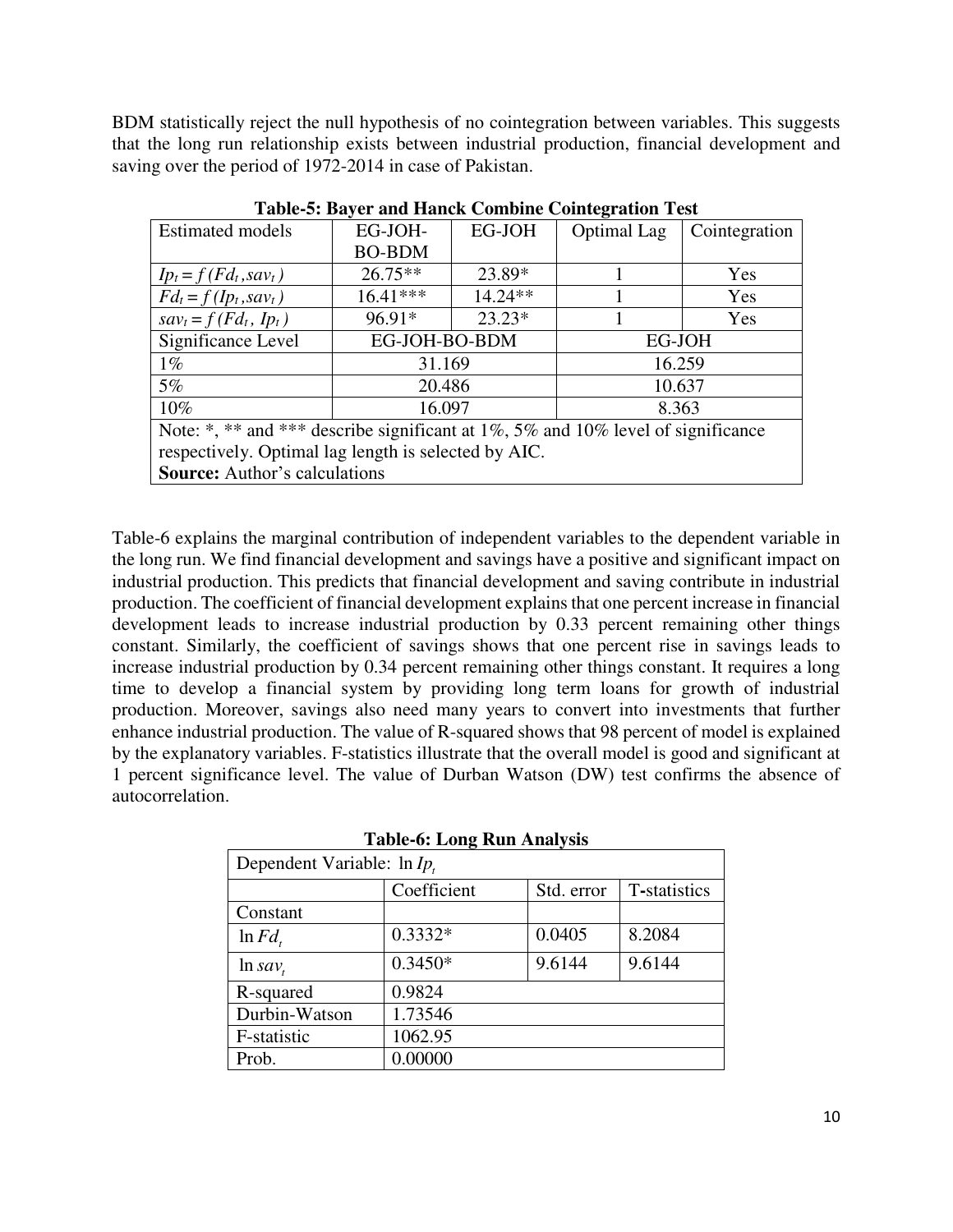BDM statistically reject the null hypothesis of no cointegration between variables. This suggests that the long run relationship exists between industrial production, financial development and saving over the period of 1972-2014 in case of Pakistan.

|                                                                                  |               |           | o                  |               |  |  |
|----------------------------------------------------------------------------------|---------------|-----------|--------------------|---------------|--|--|
| <b>Estimated models</b>                                                          | EG-JOH-       | EG-JOH    | <b>Optimal Lag</b> | Cointegration |  |  |
|                                                                                  | <b>BO-BDM</b> |           |                    |               |  |  |
| $I p_t = f (F d_t, s a v_t)$                                                     | $26.75**$     | 23.89*    |                    | Yes           |  |  |
| $Fd_t = f(Ip_t, sav_t)$                                                          | $16.41***$    | $14.24**$ |                    | Yes           |  |  |
| $sav_t = f(Fd_t, Ip_t)$                                                          | 96.91*        | $23.23*$  |                    | Yes           |  |  |
| Significance Level                                                               | EG-JOH-BO-BDM |           | EG-JOH             |               |  |  |
| $1\%$                                                                            | 31.169        |           | 16.259             |               |  |  |
| 5%                                                                               | 20.486        |           | 10.637             |               |  |  |
| $10\%$                                                                           | 16.097        |           | 8.363              |               |  |  |
| Note: *, ** and *** describe significant at 1%, 5% and 10% level of significance |               |           |                    |               |  |  |
| respectively. Optimal lag length is selected by AIC.                             |               |           |                    |               |  |  |
| <b>Source:</b> Author's calculations                                             |               |           |                    |               |  |  |

**Table-5: Bayer and Hanck Combine Cointegration Test** 

Table-6 explains the marginal contribution of independent variables to the dependent variable in the long run. We find financial development and savings have a positive and significant impact on industrial production. This predicts that financial development and saving contribute in industrial production. The coefficient of financial development explains that one percent increase in financial development leads to increase industrial production by 0.33 percent remaining other things constant. Similarly, the coefficient of savings shows that one percent rise in savings leads to increase industrial production by 0.34 percent remaining other things constant. It requires a long time to develop a financial system by providing long term loans for growth of industrial production. Moreover, savings also need many years to convert into investments that further enhance industrial production. The value of R-squared shows that 98 percent of model is explained by the explanatory variables. F-statistics illustrate that the overall model is good and significant at 1 percent significance level. The value of Durban Watson (DW) test confirms the absence of autocorrelation.

| Dependent Variable: $\ln I_{p_t}$ |             |            |              |  |  |
|-----------------------------------|-------------|------------|--------------|--|--|
|                                   | Coefficient | Std. error | T-statistics |  |  |
| Constant                          |             |            |              |  |  |
| $\ln Fd_{t}$                      | $0.3332*$   | 0.0405     | 8.2084       |  |  |
| $\ln sav_t$                       | $0.3450*$   | 9.6144     | 9.6144       |  |  |
| R-squared                         | 0.9824      |            |              |  |  |
| Durbin-Watson                     | 1.73546     |            |              |  |  |
| F-statistic                       | 1062.95     |            |              |  |  |
| Prob.                             | 0.00000     |            |              |  |  |

#### **Table-6: Long Run Analysis**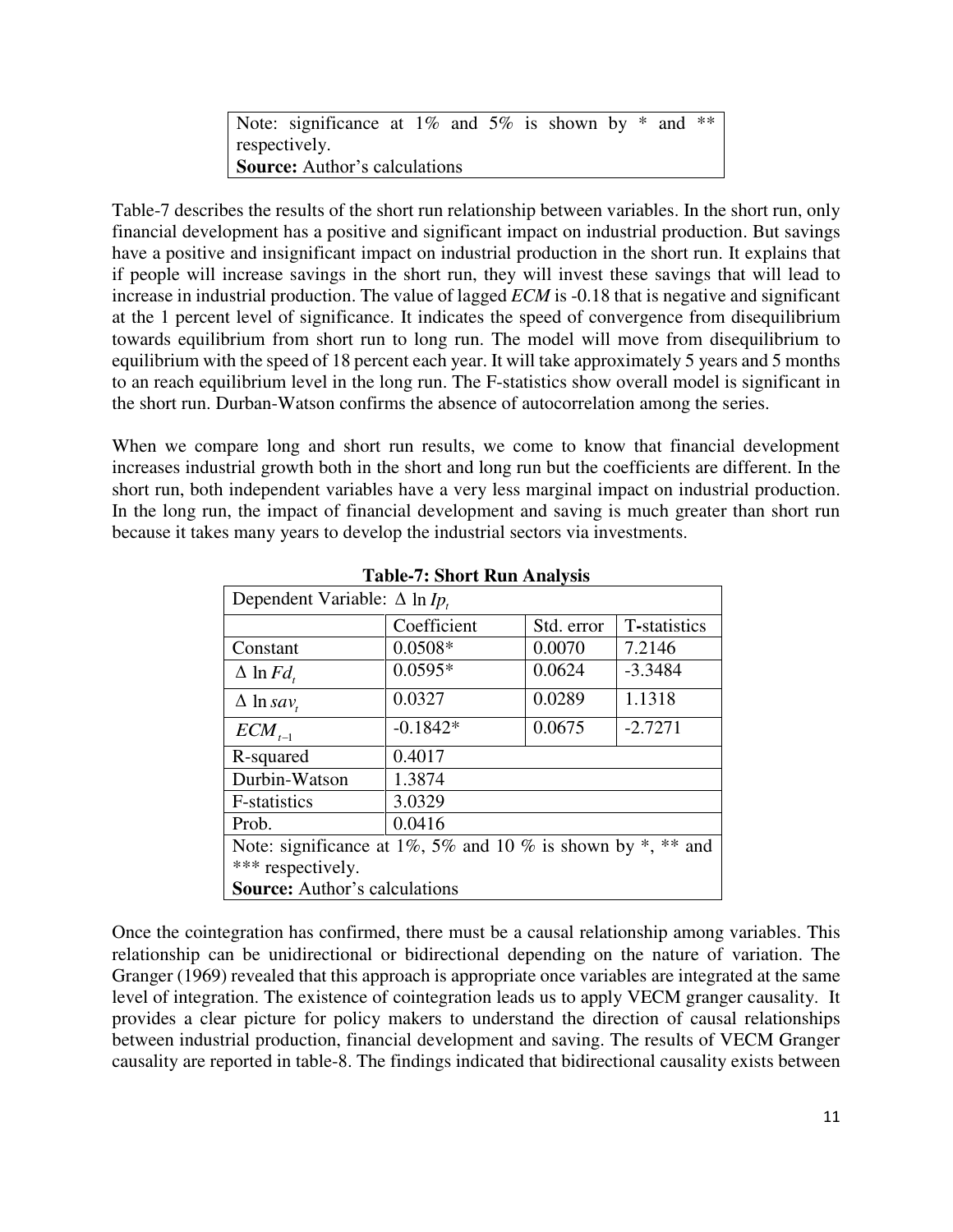Note: significance at  $1\%$  and  $5\%$  is shown by  $*$  and  $**$ respectively. **Source:** Author's calculations

Table-7 describes the results of the short run relationship between variables. In the short run, only financial development has a positive and significant impact on industrial production. But savings have a positive and insignificant impact on industrial production in the short run. It explains that if people will increase savings in the short run, they will invest these savings that will lead to increase in industrial production. The value of lagged *ECM* is -0.18 that is negative and significant at the 1 percent level of significance. It indicates the speed of convergence from disequilibrium towards equilibrium from short run to long run. The model will move from disequilibrium to equilibrium with the speed of 18 percent each year. It will take approximately 5 years and 5 months to an reach equilibrium level in the long run. The F-statistics show overall model is significant in the short run. Durban-Watson confirms the absence of autocorrelation among the series.

When we compare long and short run results, we come to know that financial development increases industrial growth both in the short and long run but the coefficients are different. In the short run, both independent variables have a very less marginal impact on industrial production. In the long run, the impact of financial development and saving is much greater than short run because it takes many years to develop the industrial sectors via investments.

| Dependent Variable: $\Delta$ ln Ip.                             |             |            |              |  |
|-----------------------------------------------------------------|-------------|------------|--------------|--|
|                                                                 | Coefficient | Std. error | T-statistics |  |
| Constant                                                        | $0.0508*$   | 0.0070     | 7.2146       |  |
| $\Delta \ln F d$ ,                                              | $0.0595*$   | 0.0624     | $-3.3484$    |  |
| $\Delta$ ln sav,                                                | 0.0327      | 0.0289     | 1.1318       |  |
| $ECM_{t-1}$                                                     | $-0.1842*$  | 0.0675     | $-2.7271$    |  |
| R-squared                                                       | 0.4017      |            |              |  |
| Durbin-Watson                                                   | 1.3874      |            |              |  |
| F-statistics                                                    | 3.0329      |            |              |  |
| Prob.                                                           | 0.0416      |            |              |  |
| Note: significance at 1%, 5% and 10% is shown by $*$ , $**$ and |             |            |              |  |
| *** respectively.                                               |             |            |              |  |
| <b>Source:</b> Author's calculations                            |             |            |              |  |

**Table-7: Short Run Analysis** 

Once the cointegration has confirmed, there must be a causal relationship among variables. This relationship can be unidirectional or bidirectional depending on the nature of variation. The Granger (1969) revealed that this approach is appropriate once variables are integrated at the same level of integration. The existence of cointegration leads us to apply VECM granger causality. It provides a clear picture for policy makers to understand the direction of causal relationships between industrial production, financial development and saving. The results of VECM Granger causality are reported in table-8. The findings indicated that bidirectional causality exists between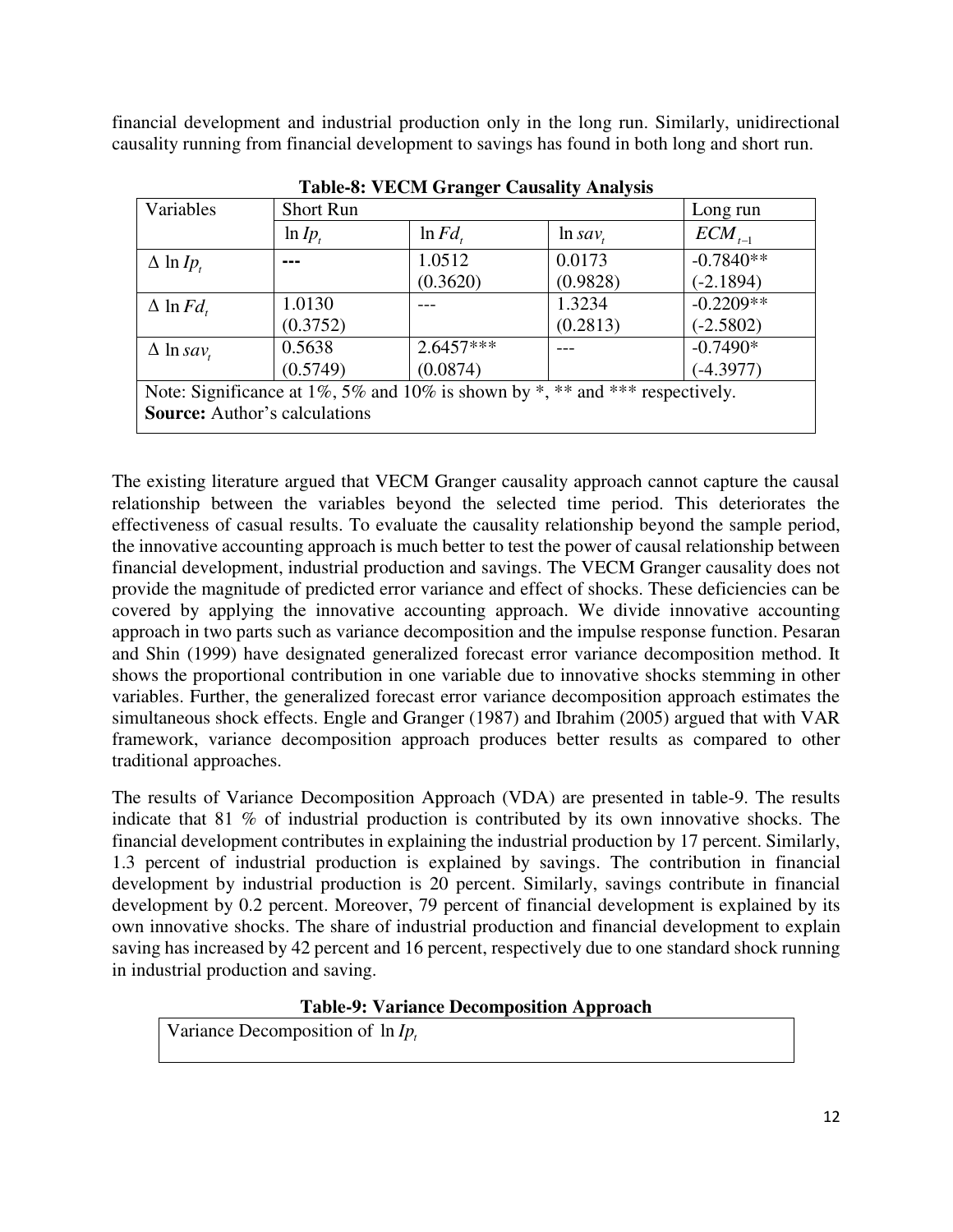financial development and industrial production only in the long run. Similarly, unidirectional causality running from financial development to savings has found in both long and short run.

| Variables                                                                    | <b>Short Run</b> |                  |             | Long run    |  |
|------------------------------------------------------------------------------|------------------|------------------|-------------|-------------|--|
|                                                                              | $\ln I_{p_t}$    | $\ln Fd_{\iota}$ | $\ln sav_t$ | $ECM_{t-1}$ |  |
| $\Delta$ ln Ip.                                                              |                  | 1.0512           | 0.0173      | $-0.7840**$ |  |
|                                                                              |                  | (0.3620)         | (0.9828)    | $(-2.1894)$ |  |
| $\Delta$ ln $Fd$ ,                                                           | 1.0130           |                  | 1.3234      | $-0.2209**$ |  |
|                                                                              | (0.3752)         |                  | (0.2813)    | $(-2.5802)$ |  |
| $\Delta$ ln sav                                                              | 0.5638           | $2.6457***$      |             | $-0.7490*$  |  |
|                                                                              | (0.5749)         | (0.0874)         |             | $(-4.3977)$ |  |
| Note: Significance at 1%, 5% and 10% is shown by *, ** and *** respectively. |                  |                  |             |             |  |
| <b>Source:</b> Author's calculations                                         |                  |                  |             |             |  |

**Table-8: VECM Granger Causality Analysis** 

The existing literature argued that VECM Granger causality approach cannot capture the causal relationship between the variables beyond the selected time period. This deteriorates the effectiveness of casual results. To evaluate the causality relationship beyond the sample period, the innovative accounting approach is much better to test the power of causal relationship between financial development, industrial production and savings. The VECM Granger causality does not provide the magnitude of predicted error variance and effect of shocks. These deficiencies can be covered by applying the innovative accounting approach. We divide innovative accounting approach in two parts such as variance decomposition and the impulse response function. Pesaran and Shin (1999) have designated generalized forecast error variance decomposition method. It shows the proportional contribution in one variable due to innovative shocks stemming in other variables. Further, the generalized forecast error variance decomposition approach estimates the simultaneous shock effects. Engle and Granger (1987) and Ibrahim (2005) argued that with VAR framework, variance decomposition approach produces better results as compared to other traditional approaches.

The results of Variance Decomposition Approach (VDA) are presented in table-9. The results indicate that 81 % of industrial production is contributed by its own innovative shocks. The financial development contributes in explaining the industrial production by 17 percent. Similarly, 1.3 percent of industrial production is explained by savings. The contribution in financial development by industrial production is 20 percent. Similarly, savings contribute in financial development by 0.2 percent. Moreover, 79 percent of financial development is explained by its own innovative shocks. The share of industrial production and financial development to explain saving has increased by 42 percent and 16 percent, respectively due to one standard shock running in industrial production and saving.

# **Table-9: Variance Decomposition Approach**

Variance Decomposition of  $\ln I_{P_t}$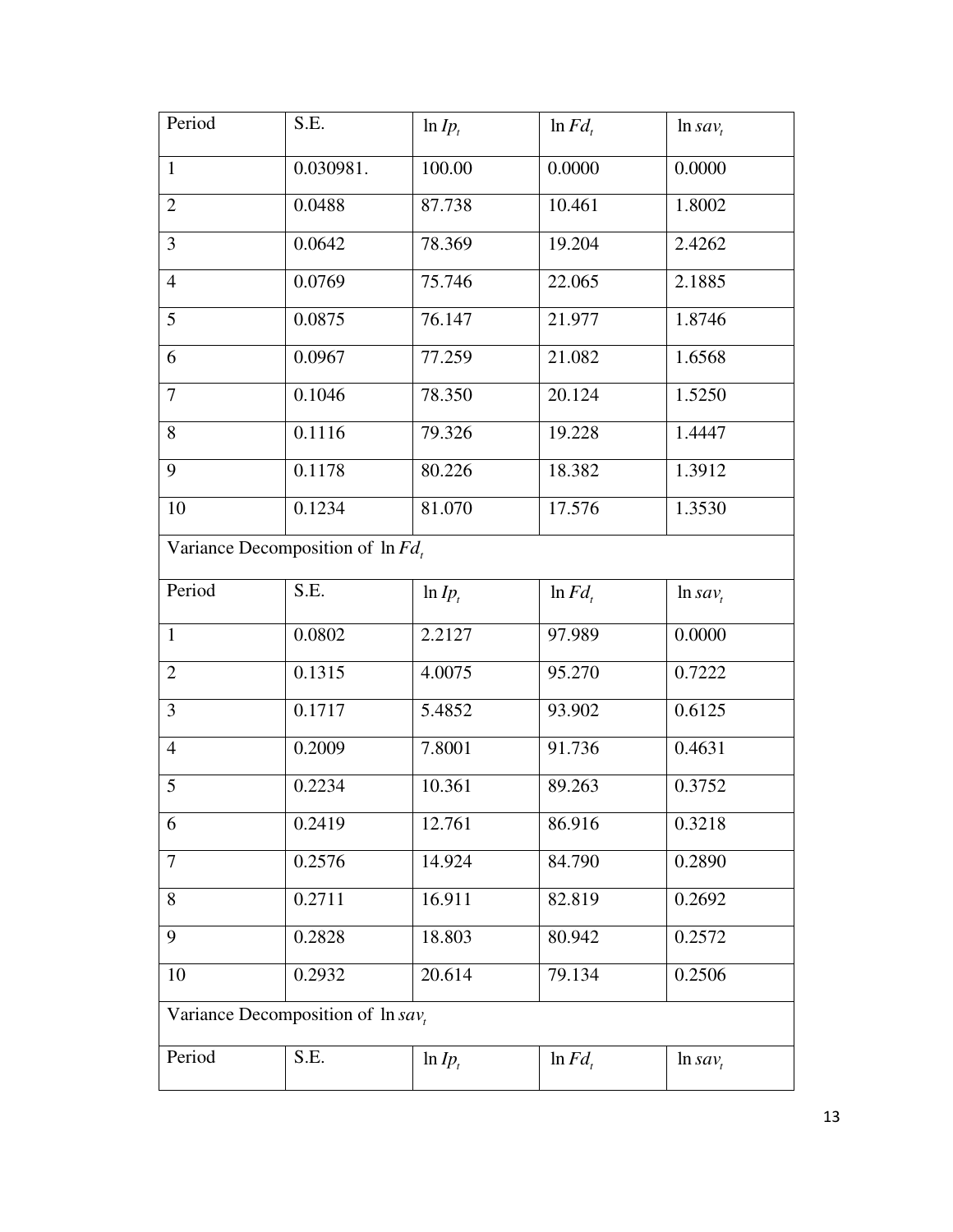| Period                                             | S.E.                                 | $ln I_{p_t}$ | $\ln F d$ ,  | $\ln sav_t$ |  |
|----------------------------------------------------|--------------------------------------|--------------|--------------|-------------|--|
| $\mathbf{1}$                                       | 0.030981.                            | 100.00       | 0.0000       | 0.0000      |  |
| $\overline{2}$                                     | 0.0488                               | 87.738       | 10.461       | 1.8002      |  |
| 3                                                  | 0.0642                               | 78.369       | 19.204       | 2.4262      |  |
| $\overline{4}$                                     | 0.0769                               | 75.746       | 22.065       | 2.1885      |  |
| 5                                                  | 0.0875                               | 76.147       | 21.977       | 1.8746      |  |
| 6                                                  | 0.0967                               | 77.259       | 21.082       | 1.6568      |  |
| $\overline{7}$                                     | 0.1046                               | 78.350       | 20.124       | 1.5250      |  |
| 8                                                  | 0.1116                               | 79.326       | 19.228       | 1.4447      |  |
| 9                                                  | 0.1178                               | 80.226       | 18.382       | 1.3912      |  |
| 10                                                 | 0.1234                               | 81.070       | 17.576       | 1.3530      |  |
|                                                    | Variance Decomposition of $\ln Fd$ , |              |              |             |  |
| Period                                             | S.E.                                 | $ln I_{p_t}$ | $\ln Fd_{t}$ | $\ln sav_t$ |  |
| $\mathbf{1}$                                       | 0.0802                               | 2.2127       | 97.989       | 0.0000      |  |
| $\overline{2}$                                     | 0.1315                               | 4.0075       | 95.270       | 0.7222      |  |
| 3                                                  | 0.1717                               | 5.4852       | 93.902       | 0.6125      |  |
| $\overline{4}$                                     | 0.2009                               | 7.8001       | 91.736       | 0.4631      |  |
| 5                                                  | 0.2234                               | 10.361       | 89.263       | 0.3752      |  |
| 6                                                  | 0.2419                               | 12.761       | 86.916       | 0.3218      |  |
| $\overline{7}$                                     | 0.2576                               | 14.924       | 84.790       | 0.2890      |  |
| 8                                                  | 0.2711                               | 16.911       | 82.819       | 0.2692      |  |
| 9                                                  | 0.2828                               | 18.803       | 80.942       | 0.2572      |  |
| 10                                                 | 0.2932                               | 20.614       | 79.134       | 0.2506      |  |
| Variance Decomposition of $\ln \overline{sav_{n}}$ |                                      |              |              |             |  |
| Period                                             | S.E.                                 | $ln I_{P_t}$ | $\ln F d$ ,  | $\ln sav_t$ |  |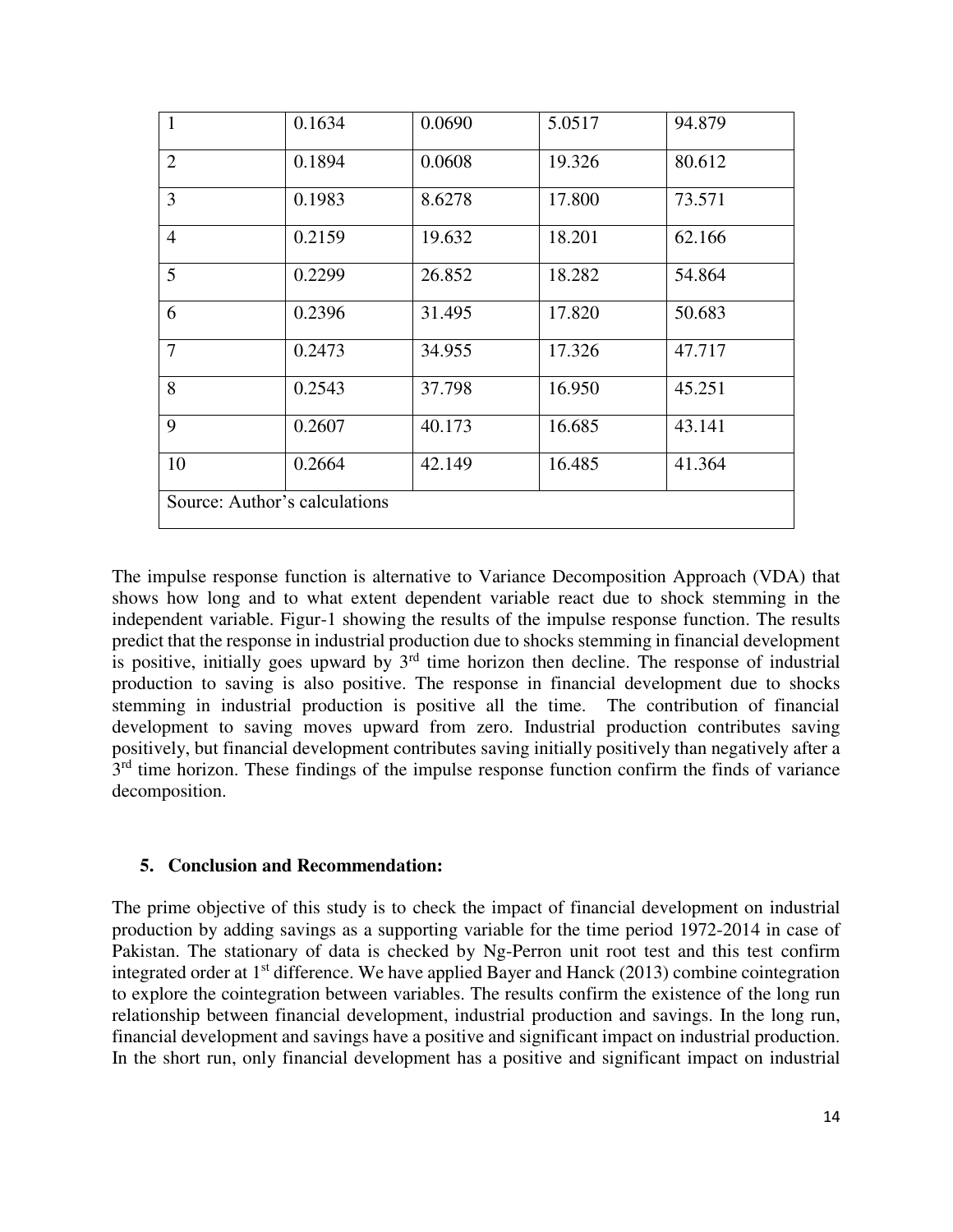| $\mathbf{1}$   | 0.1634                        | 0.0690 | 5.0517 | 94.879 |
|----------------|-------------------------------|--------|--------|--------|
| $\overline{2}$ | 0.1894                        | 0.0608 | 19.326 | 80.612 |
| $\overline{3}$ | 0.1983                        | 8.6278 | 17.800 | 73.571 |
| $\overline{4}$ | 0.2159                        | 19.632 | 18.201 | 62.166 |
| 5              | 0.2299                        | 26.852 | 18.282 | 54.864 |
| 6              | 0.2396                        | 31.495 | 17.820 | 50.683 |
| $\overline{7}$ | 0.2473                        | 34.955 | 17.326 | 47.717 |
| 8              | 0.2543                        | 37.798 | 16.950 | 45.251 |
| 9              | 0.2607                        | 40.173 | 16.685 | 43.141 |
| 10             | 0.2664                        | 42.149 | 16.485 | 41.364 |
|                | Source: Author's calculations |        |        |        |

The impulse response function is alternative to Variance Decomposition Approach (VDA) that shows how long and to what extent dependent variable react due to shock stemming in the independent variable. Figur-1 showing the results of the impulse response function. The results predict that the response in industrial production due to shocks stemming in financial development is positive, initially goes upward by  $3<sup>rd</sup>$  time horizon then decline. The response of industrial production to saving is also positive. The response in financial development due to shocks stemming in industrial production is positive all the time. The contribution of financial development to saving moves upward from zero. Industrial production contributes saving positively, but financial development contributes saving initially positively than negatively after a 3<sup>rd</sup> time horizon. These findings of the impulse response function confirm the finds of variance decomposition.

# **5. Conclusion and Recommendation:**

The prime objective of this study is to check the impact of financial development on industrial production by adding savings as a supporting variable for the time period 1972-2014 in case of Pakistan. The stationary of data is checked by Ng-Perron unit root test and this test confirm integrated order at 1<sup>st</sup> difference. We have applied Bayer and Hanck (2013) combine cointegration to explore the cointegration between variables. The results confirm the existence of the long run relationship between financial development, industrial production and savings. In the long run, financial development and savings have a positive and significant impact on industrial production. In the short run, only financial development has a positive and significant impact on industrial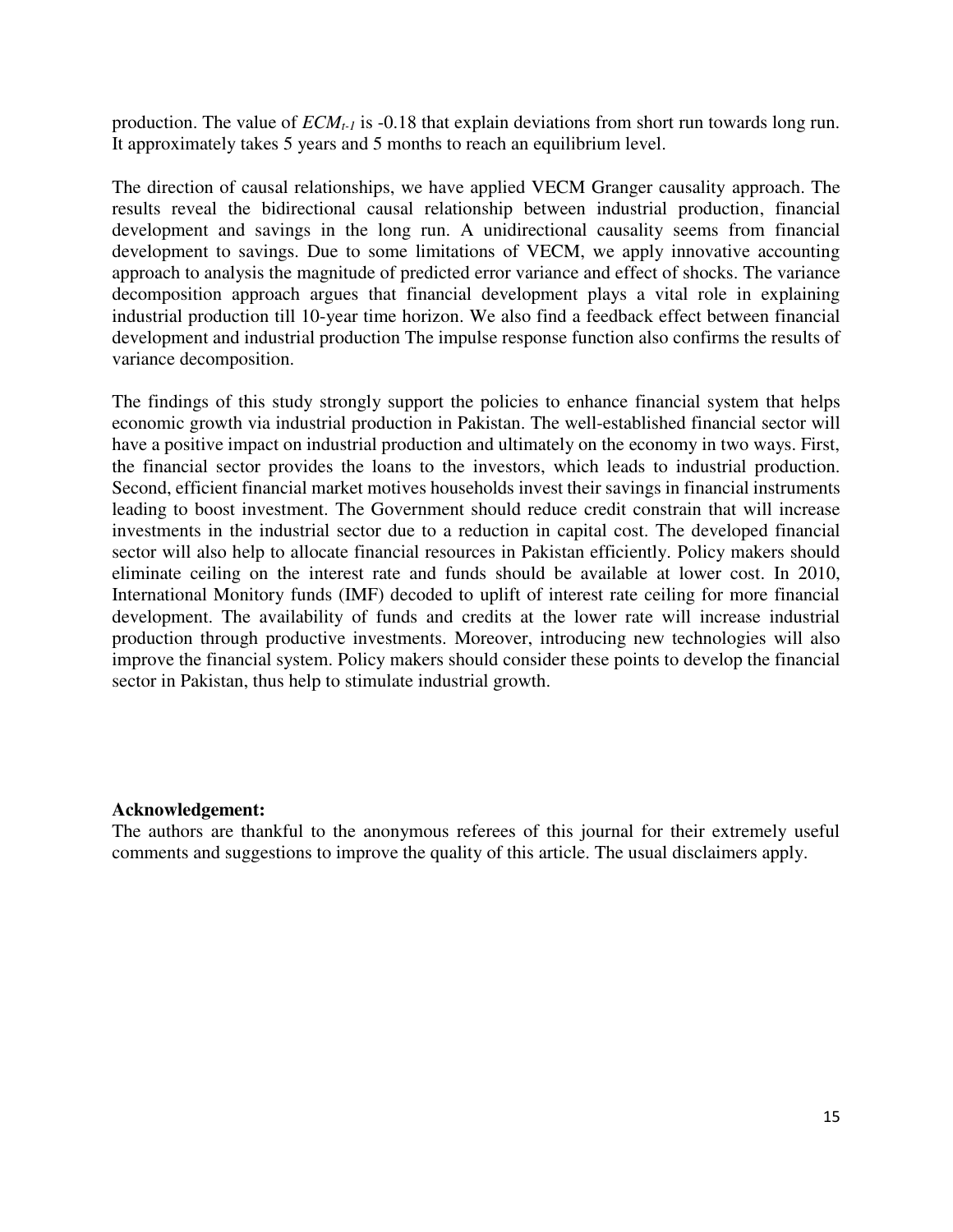production. The value of *ECMt-1* is -0.18 that explain deviations from short run towards long run. It approximately takes 5 years and 5 months to reach an equilibrium level.

The direction of causal relationships, we have applied VECM Granger causality approach. The results reveal the bidirectional causal relationship between industrial production, financial development and savings in the long run. A unidirectional causality seems from financial development to savings. Due to some limitations of VECM, we apply innovative accounting approach to analysis the magnitude of predicted error variance and effect of shocks. The variance decomposition approach argues that financial development plays a vital role in explaining industrial production till 10-year time horizon. We also find a feedback effect between financial development and industrial production The impulse response function also confirms the results of variance decomposition.

The findings of this study strongly support the policies to enhance financial system that helps economic growth via industrial production in Pakistan. The well-established financial sector will have a positive impact on industrial production and ultimately on the economy in two ways. First, the financial sector provides the loans to the investors, which leads to industrial production. Second, efficient financial market motives households invest their savings in financial instruments leading to boost investment. The Government should reduce credit constrain that will increase investments in the industrial sector due to a reduction in capital cost. The developed financial sector will also help to allocate financial resources in Pakistan efficiently. Policy makers should eliminate ceiling on the interest rate and funds should be available at lower cost. In 2010, International Monitory funds (IMF) decoded to uplift of interest rate ceiling for more financial development. The availability of funds and credits at the lower rate will increase industrial production through productive investments. Moreover, introducing new technologies will also improve the financial system. Policy makers should consider these points to develop the financial sector in Pakistan, thus help to stimulate industrial growth.

#### **Acknowledgement:**

The authors are thankful to the anonymous referees of this journal for their extremely useful comments and suggestions to improve the quality of this article. The usual disclaimers apply.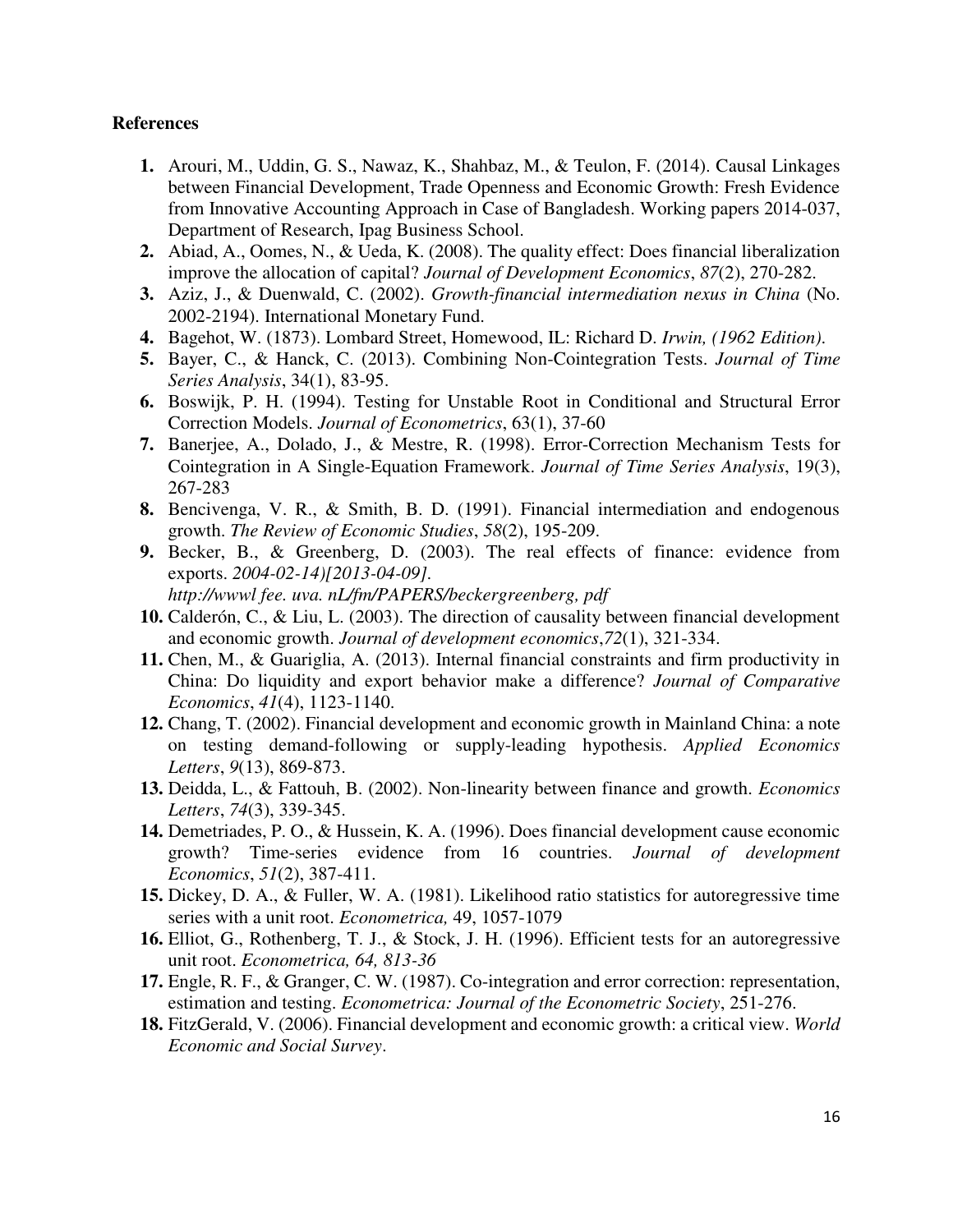#### **References**

- **1.** Arouri, M., Uddin, G. S., Nawaz, K., Shahbaz, M., & Teulon, F. (2014). Causal Linkages between Financial Development, Trade Openness and Economic Growth: Fresh Evidence from Innovative Accounting Approach in Case of Bangladesh. Working papers 2014-037, Department of Research, Ipag Business School.
- **2.** Abiad, A., Oomes, N., & Ueda, K. (2008). The quality effect: Does financial liberalization improve the allocation of capital? *Journal of Development Economics*, *87*(2), 270-282.
- **3.** Aziz, J., & Duenwald, C. (2002). *Growth-financial intermediation nexus in China* (No. 2002-2194). International Monetary Fund.
- **4.** Bagehot, W. (1873). Lombard Street, Homewood, IL: Richard D. *Irwin, (1962 Edition)*.
- **5.** Bayer, C., & Hanck, C. (2013). Combining Non-Cointegration Tests. *Journal of Time Series Analysis*, 34(1), 83-95.
- **6.** Boswijk, P. H. (1994). Testing for Unstable Root in Conditional and Structural Error Correction Models. *Journal of Econometrics*, 63(1), 37-60
- **7.** Banerjee, A., Dolado, J., & Mestre, R. (1998). Error-Correction Mechanism Tests for Cointegration in A Single-Equation Framework. *Journal of Time Series Analysis*, 19(3), 267-283
- **8.** Bencivenga, V. R., & Smith, B. D. (1991). Financial intermediation and endogenous growth. *The Review of Economic Studies*, *58*(2), 195-209.
- **9.** Becker, B., & Greenberg, D. (2003). The real effects of finance: evidence from exports. *2004-02-14)[2013-04-09]. http://wwwl fee. uva. nL/fm/PAPERS/beckergreenberg, pdf*
- **10.** Calderón, C., & Liu, L. (2003). The direction of causality between financial development and economic growth. *Journal of development economics*,*72*(1), 321-334.
- **11.** Chen, M., & Guariglia, A. (2013). Internal financial constraints and firm productivity in China: Do liquidity and export behavior make a difference? *Journal of Comparative Economics*, *41*(4), 1123-1140.
- **12.** Chang, T. (2002). Financial development and economic growth in Mainland China: a note on testing demand-following or supply-leading hypothesis. *Applied Economics Letters*, *9*(13), 869-873.
- **13.** Deidda, L., & Fattouh, B. (2002). Non-linearity between finance and growth. *Economics Letters*, *74*(3), 339-345.
- **14.** Demetriades, P. O., & Hussein, K. A. (1996). Does financial development cause economic growth? Time-series evidence from 16 countries. *Journal of development Economics*, *51*(2), 387-411.
- **15.** Dickey, D. A., & Fuller, W. A. (1981). Likelihood ratio statistics for autoregressive time series with a unit root. *Econometrica,* 49, 1057-1079
- **16.** Elliot, G., Rothenberg, T. J., & Stock, J. H. (1996). Efficient tests for an autoregressive unit root. *Econometrica, 64, 813-36*
- **17.** Engle, R. F., & Granger, C. W. (1987). Co-integration and error correction: representation, estimation and testing. *Econometrica: Journal of the Econometric Society*, 251-276.
- **18.** FitzGerald, V. (2006). Financial development and economic growth: a critical view. *World Economic and Social Survey*.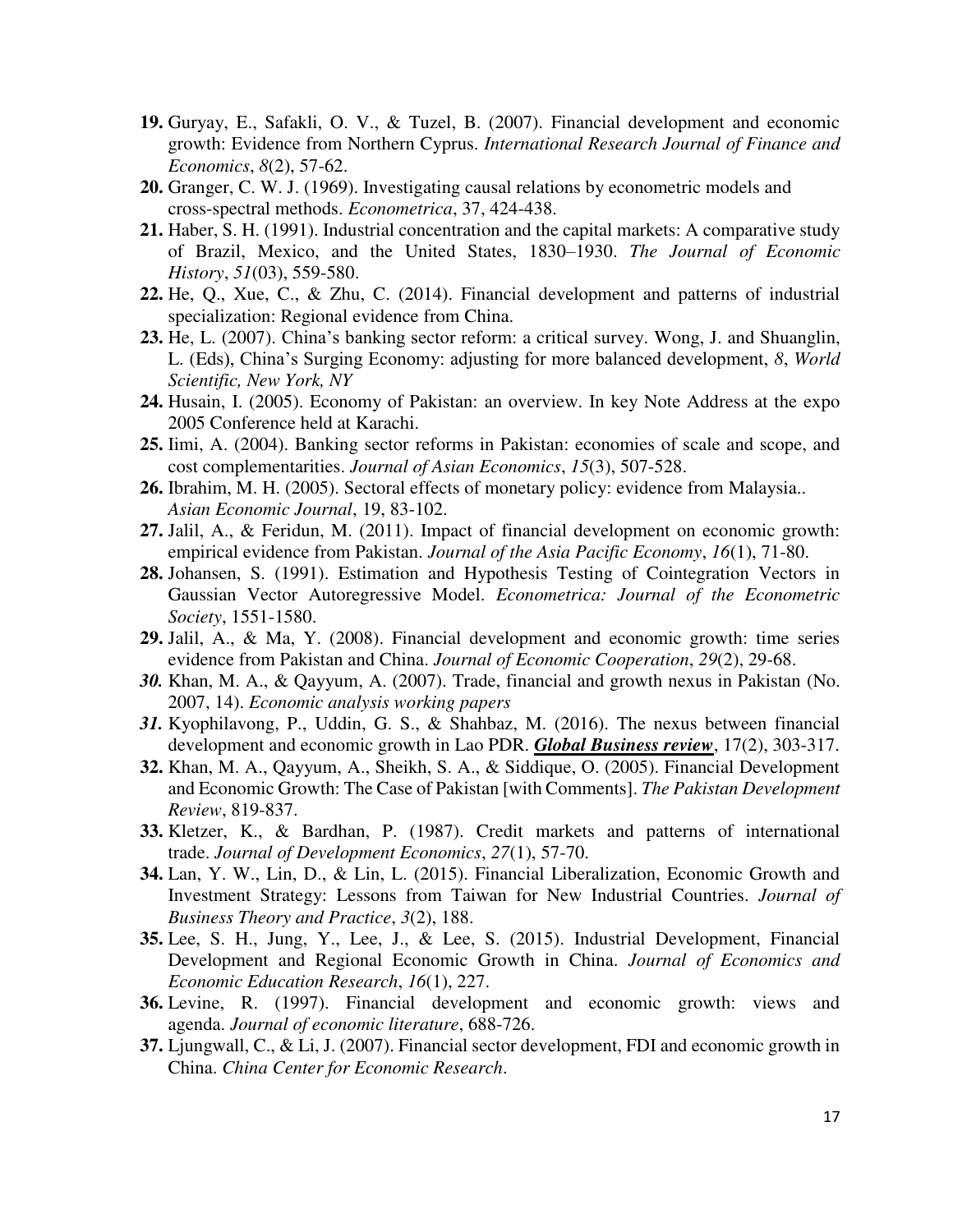- **19.** Guryay, E., Safakli, O. V., & Tuzel, B. (2007). Financial development and economic growth: Evidence from Northern Cyprus. *International Research Journal of Finance and Economics*, *8*(2), 57-62.
- **20.** Granger, C. W. J. (1969). Investigating causal relations by econometric models and cross-spectral methods. *Econometrica*, 37, 424-438.
- **21.** Haber, S. H. (1991). Industrial concentration and the capital markets: A comparative study of Brazil, Mexico, and the United States, 1830–1930. *The Journal of Economic History*, *51*(03), 559-580.
- **22.** He, Q., Xue, C., & Zhu, C. (2014). Financial development and patterns of industrial specialization: Regional evidence from China.
- **23.** He, L. (2007). China's banking sector reform: a critical survey. Wong, J. and Shuanglin, L. (Eds), China's Surging Economy: adjusting for more balanced development, *8*, *World Scientific, New York, NY*
- **24.** Husain, I. (2005). Economy of Pakistan: an overview. In key Note Address at the expo 2005 Conference held at Karachi.
- **25.** Iimi, A. (2004). Banking sector reforms in Pakistan: economies of scale and scope, and cost complementarities. *Journal of Asian Economics*, *15*(3), 507-528.
- **26.** Ibrahim, M. H. (2005). Sectoral effects of monetary policy: evidence from Malaysia.. *Asian Economic Journal*, 19, 83-102.
- **27.** Jalil, A., & Feridun, M. (2011). Impact of financial development on economic growth: empirical evidence from Pakistan. *Journal of the Asia Pacific Economy*, *16*(1), 71-80.
- **28.** Johansen, S. (1991). Estimation and Hypothesis Testing of Cointegration Vectors in Gaussian Vector Autoregressive Model. *Econometrica: Journal of the Econometric Society*, 1551-1580.
- **29.** Jalil, A., & Ma, Y. (2008). Financial development and economic growth: time series evidence from Pakistan and China. *Journal of Economic Cooperation*, *29*(2), 29-68.
- *30.* Khan, M. A., & Qayyum, A. (2007). Trade, financial and growth nexus in Pakistan (No. 2007, 14). *Economic analysis working papers*
- *31.* Kyophilavong, P., Uddin, G. S., & Shahbaz, M. (2016). The nexus between financial development and economic growth in Lao PDR. *Global Business review*, 17(2), 303-317.
- **32.** Khan, M. A., Qayyum, A., Sheikh, S. A., & Siddique, O. (2005). Financial Development and Economic Growth: The Case of Pakistan [with Comments]. *The Pakistan Development Review*, 819-837.
- **33.** Kletzer, K., & Bardhan, P. (1987). Credit markets and patterns of international trade. *Journal of Development Economics*, *27*(1), 57-70.
- **34.** Lan, Y. W., Lin, D., & Lin, L. (2015). Financial Liberalization, Economic Growth and Investment Strategy: Lessons from Taiwan for New Industrial Countries. *Journal of Business Theory and Practice*, *3*(2), 188.
- **35.** Lee, S. H., Jung, Y., Lee, J., & Lee, S. (2015). Industrial Development, Financial Development and Regional Economic Growth in China. *Journal of Economics and Economic Education Research*, *16*(1), 227.
- **36.** Levine, R. (1997). Financial development and economic growth: views and agenda. *Journal of economic literature*, 688-726.
- **37.** Ljungwall, C., & Li, J. (2007). Financial sector development, FDI and economic growth in China. *China Center for Economic Research*.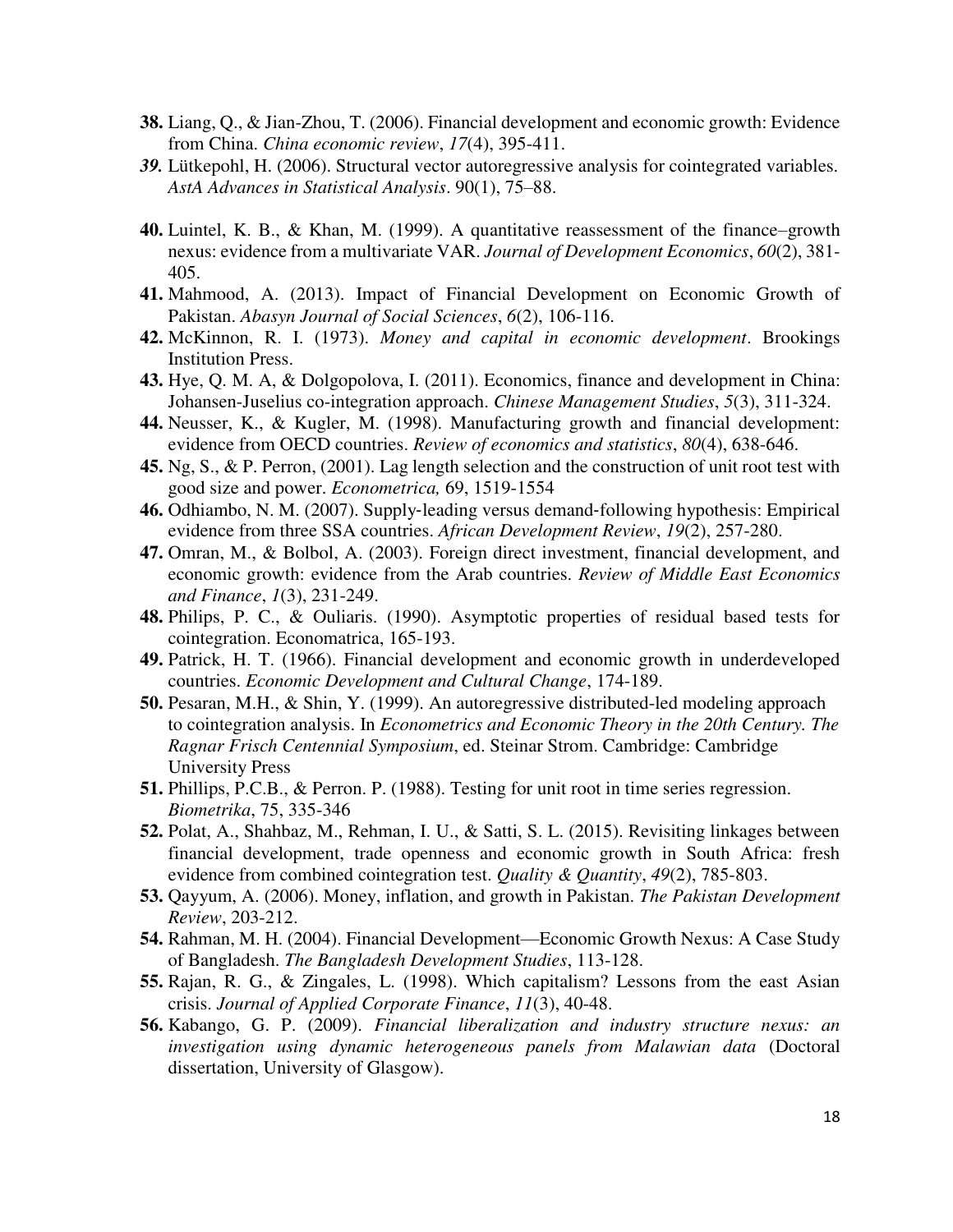- **38.** Liang, Q., & Jian-Zhou, T. (2006). Financial development and economic growth: Evidence from China. *China economic review*, *17*(4), 395-411.
- *39.* Lütkepohl, H. (2006). Structural vector autoregressive analysis for cointegrated variables. *AstA Advances in Statistical Analysis*. 90(1), 75–88.
- **40.** Luintel, K. B., & Khan, M. (1999). A quantitative reassessment of the finance–growth nexus: evidence from a multivariate VAR. *Journal of Development Economics*, *60*(2), 381- 405.
- **41.** Mahmood, A. (2013). Impact of Financial Development on Economic Growth of Pakistan. *Abasyn Journal of Social Sciences*, *6*(2), 106-116.
- **42.** McKinnon, R. I. (1973). *Money and capital in economic development*. Brookings Institution Press.
- **43.** Hye, Q. M. A, & Dolgopolova, I. (2011). Economics, finance and development in China: Johansen-Juselius co-integration approach. *Chinese Management Studies*, *5*(3), 311-324.
- **44.** Neusser, K., & Kugler, M. (1998). Manufacturing growth and financial development: evidence from OECD countries. *Review of economics and statistics*, *80*(4), 638-646.
- **45.** Ng, S., & P. Perron, (2001). Lag length selection and the construction of unit root test with good size and power. *Econometrica,* 69, 1519-1554
- **46.** Odhiambo, N. M. (2007). Supply‐leading versus demand‐following hypothesis: Empirical evidence from three SSA countries. *African Development Review*, *19*(2), 257-280.
- **47.** Omran, M., & Bolbol, A. (2003). Foreign direct investment, financial development, and economic growth: evidence from the Arab countries. *Review of Middle East Economics and Finance*, *1*(3), 231-249.
- **48.** Philips, P. C., & Ouliaris. (1990). Asymptotic properties of residual based tests for cointegration. Economatrica, 165-193.
- **49.** Patrick, H. T. (1966). Financial development and economic growth in underdeveloped countries. *Economic Development and Cultural Change*, 174-189.
- **50.** Pesaran, M.H., & Shin, Y. (1999). An autoregressive distributed-led modeling approach to cointegration analysis. In *Econometrics and Economic Theory in the 20th Century. The Ragnar Frisch Centennial Symposium*, ed. Steinar Strom. Cambridge: Cambridge University Press
- **51.** Phillips, P.C.B., & Perron. P. (1988). Testing for unit root in time series regression. *Biometrika*, 75, 335-346
- **52.** Polat, A., Shahbaz, M., Rehman, I. U., & Satti, S. L. (2015). Revisiting linkages between financial development, trade openness and economic growth in South Africa: fresh evidence from combined cointegration test. *Quality & Quantity*, *49*(2), 785-803.
- **53.** Qayyum, A. (2006). Money, inflation, and growth in Pakistan. *The Pakistan Development Review*, 203-212.
- **54.** Rahman, M. H. (2004). Financial Development—Economic Growth Nexus: A Case Study of Bangladesh. *The Bangladesh Development Studies*, 113-128.
- **55.** Rajan, R. G., & Zingales, L. (1998). Which capitalism? Lessons from the east Asian crisis. *Journal of Applied Corporate Finance*, *11*(3), 40-48.
- **56.** Kabango, G. P. (2009). *Financial liberalization and industry structure nexus: an investigation using dynamic heterogeneous panels from Malawian data* (Doctoral dissertation, University of Glasgow).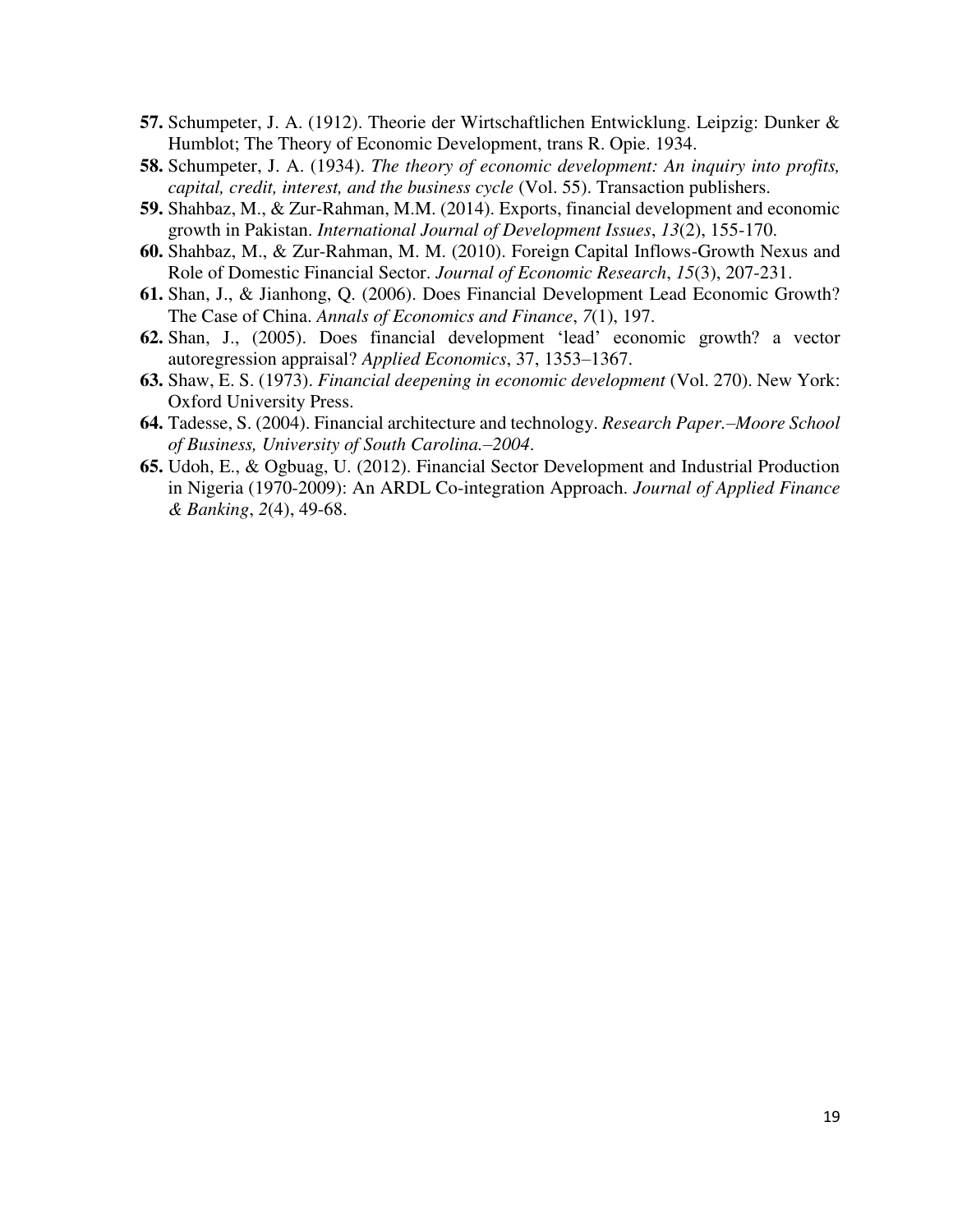- **57.** Schumpeter, J. A. (1912). Theorie der Wirtschaftlichen Entwicklung. Leipzig: Dunker & Humblot; The Theory of Economic Development, trans R. Opie. 1934.
- **58.** Schumpeter, J. A. (1934). *The theory of economic development: An inquiry into profits, capital, credit, interest, and the business cycle* (Vol. 55). Transaction publishers.
- **59.** Shahbaz, M., & Zur-Rahman, M.M. (2014). Exports, financial development and economic growth in Pakistan. *International Journal of Development Issues*, *13*(2), 155-170.
- **60.** Shahbaz, M., & Zur-Rahman, M. M. (2010). Foreign Capital Inflows-Growth Nexus and Role of Domestic Financial Sector. *Journal of Economic Research*, *15*(3), 207-231.
- **61.** Shan, J., & Jianhong, Q. (2006). Does Financial Development Lead Economic Growth? The Case of China. *Annals of Economics and Finance*, *7*(1), 197.
- **62.** Shan, J., (2005). Does financial development 'lead' economic growth? a vector autoregression appraisal? *Applied Economics*, 37, 1353–1367.
- **63.** Shaw, E. S. (1973). *Financial deepening in economic development* (Vol. 270). New York: Oxford University Press.
- **64.** Tadesse, S. (2004). Financial architecture and technology. *Research Paper.–Moore School of Business, University of South Carolina.–2004*.
- **65.** Udoh, E., & Ogbuag, U. (2012). Financial Sector Development and Industrial Production in Nigeria (1970-2009): An ARDL Co-integration Approach. *Journal of Applied Finance & Banking*, *2*(4), 49-68.